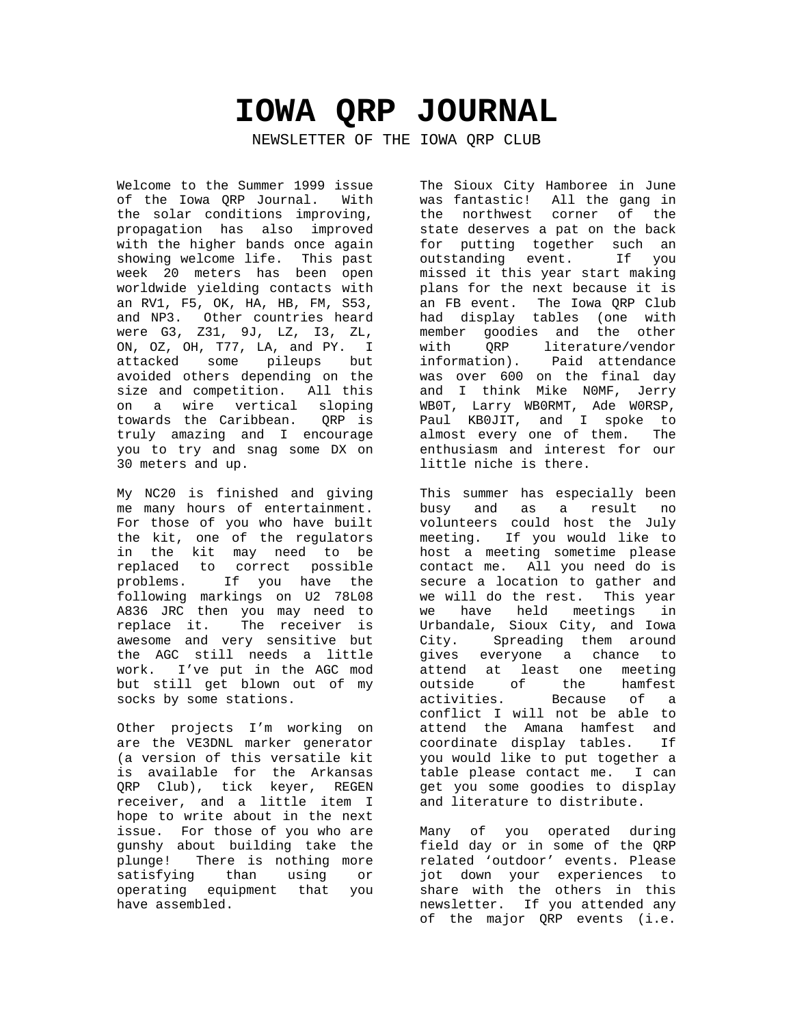# **IOWA QRP JOURNAL**

NEWSLETTER OF THE IOWA QRP CLUB

Welcome to the Summer 1999 issue of the Iowa QRP Journal. With the solar conditions improving, propagation has also improved with the higher bands once again showing welcome life. This past week 20 meters has been open worldwide yielding contacts with an RV1, F5, OK, HA, HB, FM, S53, and NP3. Other countries heard were G3, Z31, 9J, LZ, I3, ZL, ON, OZ, OH, T77, LA, and PY. I attacked some pileups but avoided others depending on the size and competition. All this on a wire vertical sloping towards the Caribbean. QRP is truly amazing and I encourage you to try and snag some DX on 30 meters and up.

My NC20 is finished and giving me many hours of entertainment. For those of you who have built the kit, one of the regulators in the kit may need to be replaced to correct possible problems. If you have the following markings on U2 78L08 A836 JRC then you may need to replace it. The receiver is awesome and very sensitive but the AGC still needs a little work. I've put in the AGC mod but still get blown out of my socks by some stations.

Other projects I'm working on are the VE3DNL marker generator (a version of this versatile kit is available for the Arkansas QRP Club), tick keyer, REGEN receiver, and a little item I hope to write about in the next issue. For those of you who are gunshy about building take the plunge! There is nothing more satisfying than using or operating equipment that you have assembled.

The Sioux City Hamboree in June was fantastic! All the gang in the northwest corner of the state deserves a pat on the back for putting together such an outstanding event. If you missed it this year start making plans for the next because it is an FB event. The Iowa QRP Club had display tables (one with member goodies and the other with QRP literature/vendor<br>information). Paid attendance Paid attendance was over 600 on the final day and I think Mike N0MF, Jerry WB0T, Larry WB0RMT, Ade W0RSP, Paul KB0JIT, and I spoke to almost every one of them. The enthusiasm and interest for our little niche is there.

This summer has especially been busy and as a result no volunteers could host the July meeting. If you would like to host a meeting sometime please contact me. All you need do is secure a location to gather and we will do the rest. This year we have held meetings in Urbandale, Sioux City, and Iowa City. Spreading them around gives everyone a chance to attend at least one meeting outside of the hamfest activities. Because of a conflict I will not be able to attend the Amana hamfest and coordinate display tables. If you would like to put together a table please contact me. I can get you some goodies to display and literature to distribute.

Many of you operated during field day or in some of the QRP related 'outdoor' events. Please jot down your experiences to share with the others in this newsletter. If you attended any of the major QRP events (i.e.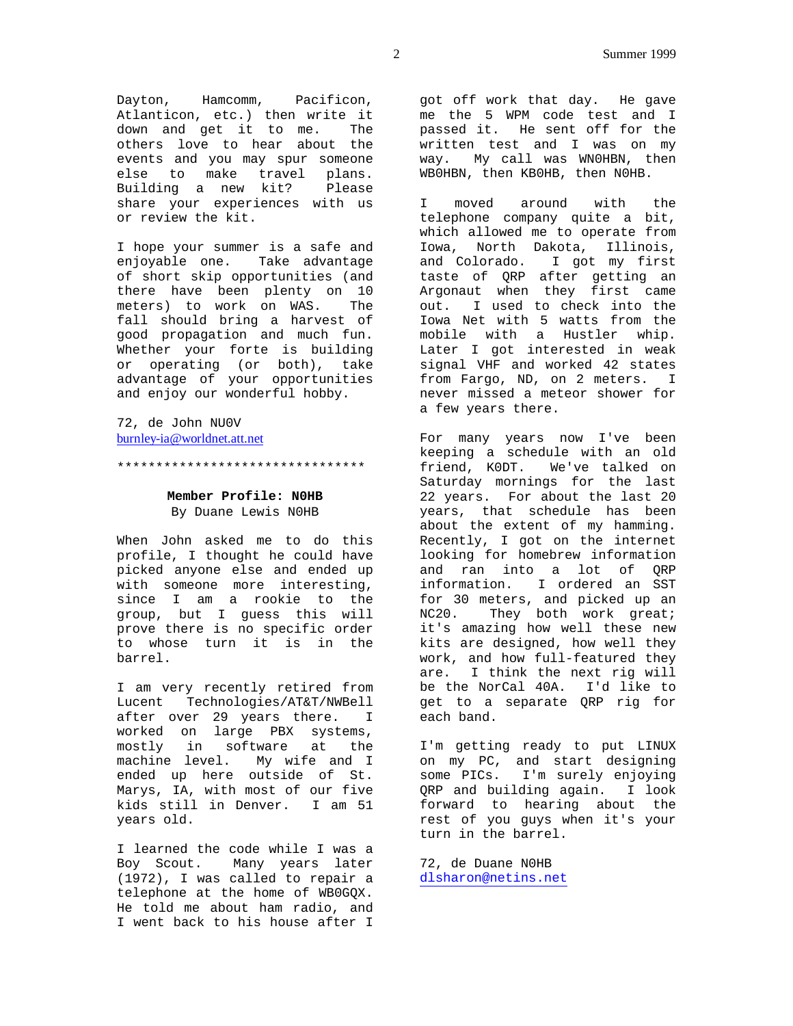Dayton, Hamcomm, Pacificon, Atlanticon, etc.) then write it down and get it to me. The others love to hear about the events and you may spur someone else to make travel plans. Building a new kit? Please share your experiences with us or review the kit.

I hope your summer is a safe and enjoyable one. Take advantage of short skip opportunities (and there have been plenty on 10 meters) to work on WAS. The fall should bring a harvest of good propagation and much fun. Whether your forte is building or operating (or both), take advantage of your opportunities and enjoy our wonderful hobby.

72, de John NU0V burnley-ia@worldnet.att.net

\*\*\*\*\*\*\*\*\*\*\*\*\*\*\*\*\*\*\*\*\*\*\*\*\*\*\*\*\*\*\*\*

# **Member Profile: N0HB** By Duane Lewis N0HB

When John asked me to do this profile, I thought he could have picked anyone else and ended up with someone more interesting, since I am a rookie to the group, but I guess this will prove there is no specific order to whose turn it is in the barrel.

I am very recently retired from Lucent Technologies/AT&T/NWBell after over 29 years there. I worked on large PBX systems, mostly in software at the machine level. My wife and I ended up here outside of St. Marys, IA, with most of our five kids still in Denver. I am 51 years old.

I learned the code while I was a Boy Scout. Many years later (1972), I was called to repair a telephone at the home of WB0GQX. He told me about ham radio, and I went back to his house after I

got off work that day. He gave me the 5 WPM code test and I passed it. He sent off for the written test and I was on my way. My call was WN0HBN, then WB0HBN, then KB0HB, then N0HB.

I moved around with the telephone company quite a bit, which allowed me to operate from Iowa, North Dakota, Illinois, and Colorado. I got my first taste of QRP after getting an Argonaut when they first came out. I used to check into the Iowa Net with 5 watts from the mobile with a Hustler whip. Later I got interested in weak signal VHF and worked 42 states from Fargo, ND, on 2 meters. I never missed a meteor shower for a few years there.

For many years now I've been keeping a schedule with an old friend, K0DT. We've talked on Saturday mornings for the last 22 years. For about the last 20 years, that schedule has been about the extent of my hamming. Recently, I got on the internet looking for homebrew information and ran into a lot of QRP information. I ordered an SST for 30 meters, and picked up an NC20. They both work great; it's amazing how well these new kits are designed, how well they work, and how full-featured they are. I think the next rig will be the NorCal 40A. I'd like to get to a separate QRP rig for each band.

I'm getting ready to put LINUX on my PC, and start designing some PICs. I'm surely enjoying QRP and building again. I look forward to hearing about the rest of you guys when it's your turn in the barrel.

72, de Duane N0HB dlsharon@netins.net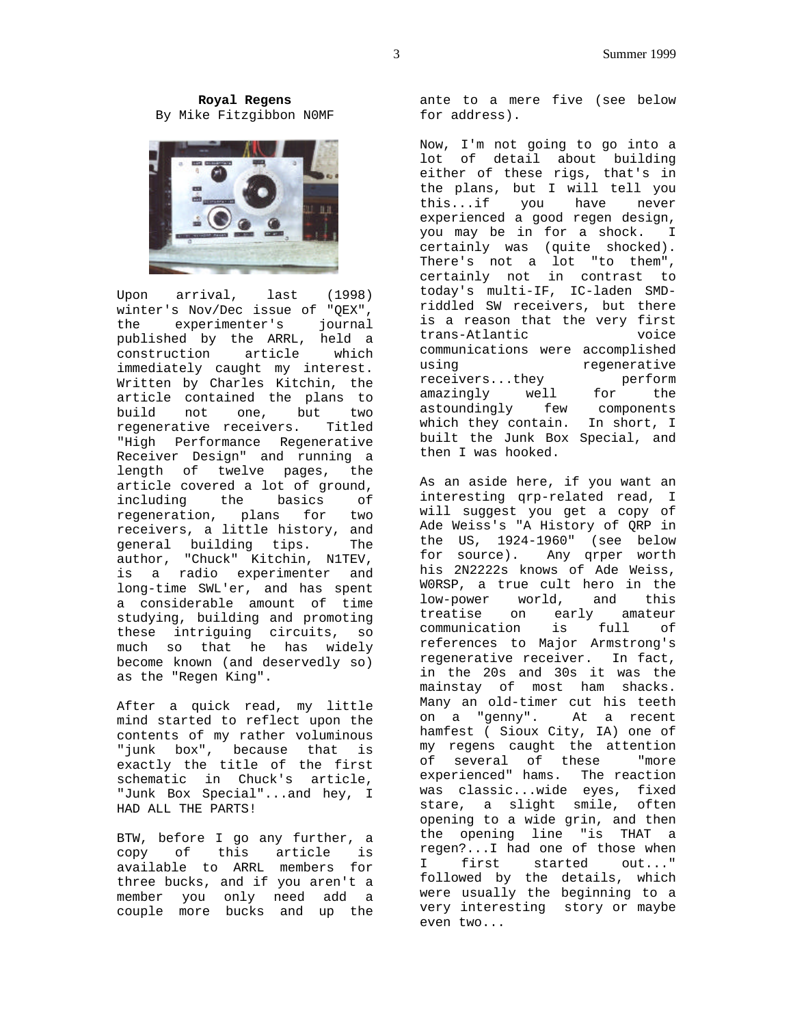**Royal Regens** By Mike Fitzgibbon N0MF



Upon arrival, last (1998) winter's Nov/Dec issue of "QEX", the experimenter's journal published by the ARRL, held a construction article which immediately caught my interest. Written by Charles Kitchin, the article contained the plans to build not one, but two regenerative receivers. Titled "High Performance Regenerative Receiver Design" and running a length of twelve pages, the article covered a lot of ground, including the basics of regeneration, plans for two receivers, a little history, and general building tips. The author, "Chuck" Kitchin, N1TEV, is a radio experimenter and long-time SWL'er, and has spent a considerable amount of time studying, building and promoting these intriguing circuits, so much so that he has widely become known (and deservedly so) as the "Regen King".

After a quick read, my little mind started to reflect upon the contents of my rather voluminous "junk box", because that is exactly the title of the first schematic in Chuck's article, "Junk Box Special"...and hey, I HAD ALL THE PARTS!

BTW, before I go any further, a copy of this article is available to ARRL members for three bucks, and if you aren't a member you only need add a couple more bucks and up the ante to a mere five (see below for address).

Now, I'm not going to go into a lot of detail about building either of these rigs, that's in the plans, but I will tell you this...if you have never experienced a good regen design, you may be in for a shock. I certainly was (quite shocked). There's not a lot "to them", certainly not in contrast to today's multi-IF, IC-laden SMDriddled SW receivers, but there is a reason that the very first trans-Atlantic voice communications were accomplished using regenerative receivers...they perform amazingly well for the astoundingly few components which they contain. In short, I built the Junk Box Special, and then I was hooked.

As an aside here, if you want an interesting qrp-related read, I will suggest you get a copy of Ade Weiss's "A History of QRP in the US, 1924-1960" (see below for source). Any qrper worth his 2N2222s knows of Ade Weiss, W0RSP, a true cult hero in the low-power world, and this treatise on early amateur communication is full of references to Major Armstrong's regenerative receiver. In fact, in the 20s and 30s it was the mainstay of most ham shacks. Many an old-timer cut his teeth on a "genny". At a recent hamfest ( Sioux City, IA) one of my regens caught the attention of several of these "more experienced" hams. The reaction was classic...wide eyes, fixed stare, a slight smile, often opening to a wide grin, and then the opening line "is THAT a regen?...I had one of those when I first started out..." followed by the details, which were usually the beginning to a very interesting story or maybe even two...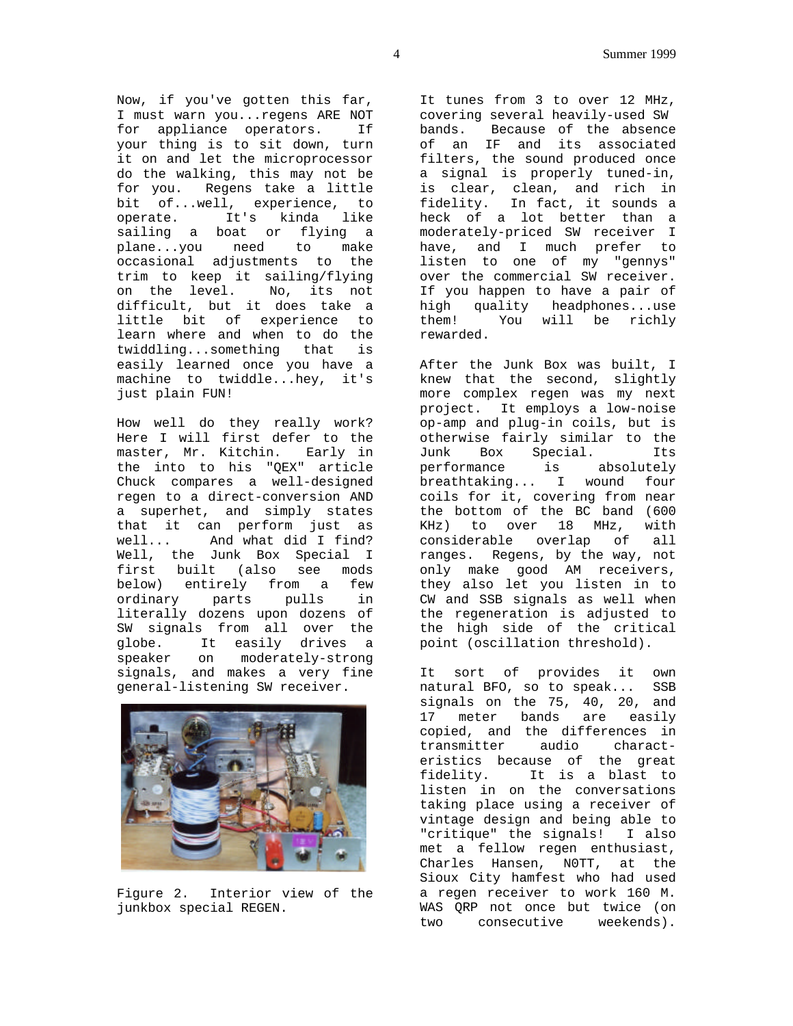Now, if you've gotten this far, I must warn you...regens ARE NOT for appliance operators. If your thing is to sit down, turn it on and let the microprocessor do the walking, this may not be for you. Regens take a little bit of...well, experience, to operate. It's kinda like sailing a boat or flying a plane...you need to make occasional adjustments to the trim to keep it sailing/flying on the level. No, its not difficult, but it does take a little bit of experience to learn where and when to do the twiddling...something that is easily learned once you have a machine to twiddle...hey, it's just plain FUN!

How well do they really work? Here I will first defer to the master, Mr. Kitchin. Early in the into to his "QEX" article Chuck compares a well-designed regen to a direct-conversion AND a superhet, and simply states that it can perform just as well... And what did I find? Well, the Junk Box Special I first built (also see mods below) entirely from a few ordinary parts pulls in literally dozens upon dozens of SW signals from all over the globe. It easily drives a speaker on moderately-strong signals, and makes a very fine general-listening SW receiver.



Figure 2. Interior view of the junkbox special REGEN.

It tunes from 3 to over 12 MHz, covering several heavily-used SW bands. Because of the absence of an IF and its associated filters, the sound produced once a signal is properly tuned-in, is clear, clean, and rich in fidelity. In fact, it sounds a heck of a lot better than a moderately-priced SW receiver I have, and I much prefer to listen to one of my "gennys" over the commercial SW receiver. If you happen to have a pair of high quality headphones...use them! You will be richly rewarded.

After the Junk Box was built, I knew that the second, slightly more complex regen was my next project. It employs a low-noise op-amp and plug-in coils, but is otherwise fairly similar to the Junk Box Special. Its performance is absolutely breathtaking... I wound four coils for it, covering from near the bottom of the BC band (600 KHz) to over 18 MHz, with considerable overlap of all ranges. Regens, by the way, not only make good AM receivers, they also let you listen in to CW and SSB signals as well when the regeneration is adjusted to the high side of the critical point (oscillation threshold).

It sort of provides it own natural BFO, so to speak... SSB signals on the 75, 40, 20, and 17 meter bands are easily copied, and the differences in transmitter audio characteristics because of the great fidelity. It is a blast to listen in on the conversations taking place using a receiver of vintage design and being able to "critique" the signals! I also met a fellow regen enthusiast, Charles Hansen, N0TT, at the Sioux City hamfest who had used a regen receiver to work 160 M. WAS QRP not once but twice (on two consecutive weekends).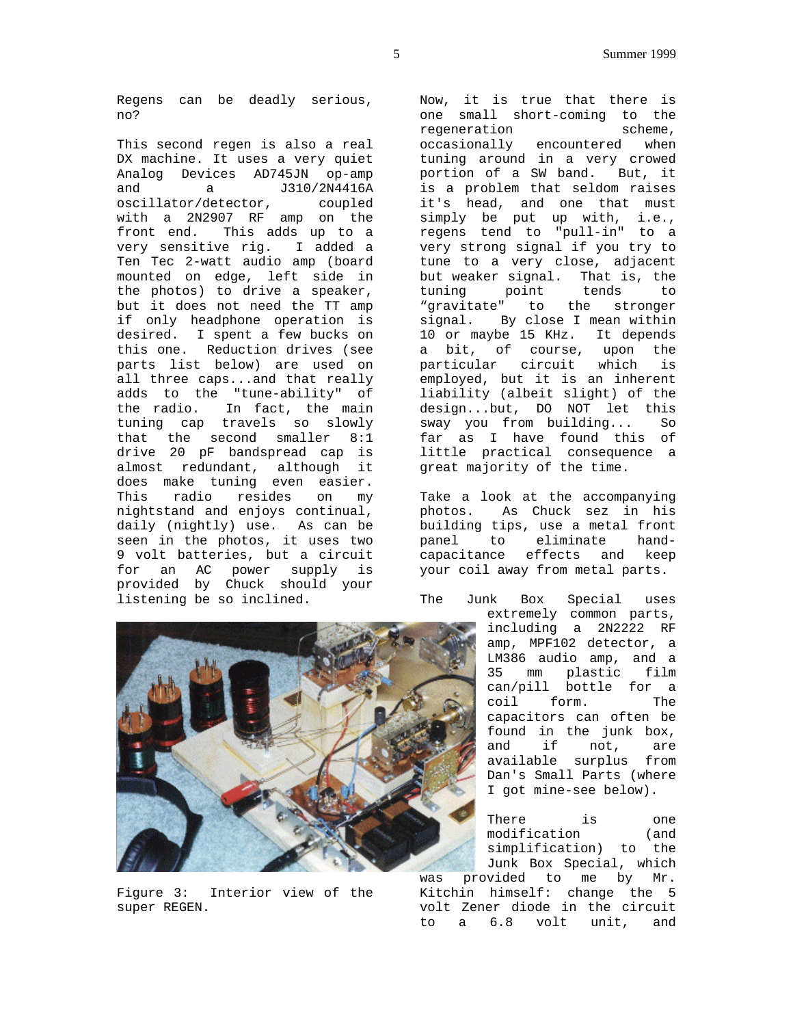Regens can be deadly serious, no?

This second regen is also a real DX machine. It uses a very quiet Analog Devices AD745JN op-amp and a J310/2N4416A oscillator/detector, coupled with a 2N2907 RF amp on the front end. This adds up to a very sensitive rig. I added a Ten Tec 2-watt audio amp (board mounted on edge, left side in the photos) to drive a speaker, but it does not need the TT amp if only headphone operation is desired. I spent a few bucks on this one. Reduction drives (see parts list below) are used on all three caps...and that really adds to the "tune-ability" of the radio. In fact, the main tuning cap travels so slowly that the second smaller 8:1 drive 20 pF bandspread cap is almost redundant, although it does make tuning even easier. This radio resides on my nightstand and enjoys continual, daily (nightly) use. As can be seen in the photos, it uses two 9 volt batteries, but a circuit for an AC power supply is provided by Chuck should your listening be so inclined.

Now, it is true that there is one small short-coming to the regeneration scheme, occasionally encountered when tuning around in a very crowed portion of a SW band. But, it is a problem that seldom raises it's head, and one that must simply be put up with, i.e., regens tend to "pull-in" to a very strong signal if you try to tune to a very close, adjacent but weaker signal. That is, the tuning point tends to "gravitate" to the stronger signal. By close I mean within 10 or maybe 15 KHz. It depends a bit, of course, upon the particular circuit which is employed, but it is an inherent liability (albeit slight) of the design...but, DO NOT let this sway you from building... So far as I have found this of little practical consequence a great majority of the time.

Take a look at the accompanying photos. As Chuck sez in his building tips, use a metal front panel to eliminate handcapacitance effects and keep your coil away from metal parts.

The Junk Box Special uses

extremely common parts, including a 2N2222 RF amp, MPF102 detector, a LM386 audio amp, and a 35 mm plastic film can/pill bottle for a coil form. The capacitors can often be found in the junk box, and if not, are available surplus from Dan's Small Parts (where I got mine-see below).

There is one modification (and simplification) to the Junk Box Special, which was provided to me by Mr. Kitchin himself: change the 5 volt Zener diode in the circuit to a 6.8 volt unit, and



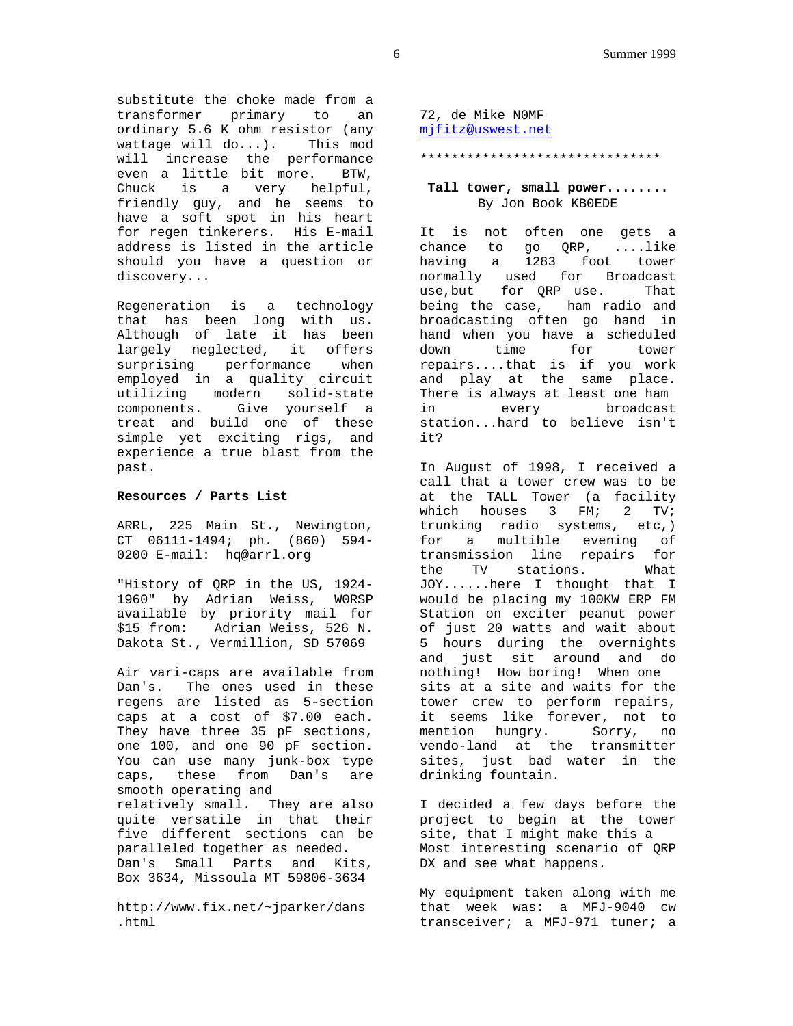substitute the choke made from a transformer primary to an ordinary 5.6 K ohm resistor (any wattage will do...). This mod will increase the performance even a little bit more. BTW, Chuck is a very helpful, friendly guy, and he seems to have a soft spot in his heart for regen tinkerers. His E-mail address is listed in the article should you have a question or discovery...

Regeneration is a technology that has been long with us. Although of late it has been largely neglected, it offers surprising performance when employed in a quality circuit utilizing modern solid-state components. Give yourself a treat and build one of these simple yet exciting rigs, and experience a true blast from the past.

### **Resources / Parts List**

ARRL, 225 Main St., Newington, CT 06111-1494; ph. (860) 594- 0200 E-mail: hq@arrl.org

"History of QRP in the US, 1924- 1960" by Adrian Weiss, W0RSP available by priority mail for \$15 from: Adrian Weiss, 526 N. Dakota St., Vermillion, SD 57069

Air vari-caps are available from Dan's. The ones used in these regens are listed as 5-section caps at a cost of \$7.00 each. They have three 35 pF sections, one 100, and one 90 pF section. You can use many junk-box type caps, these from Dan's are smooth operating and relatively small. They are also quite versatile in that their five different sections can be paralleled together as needed. Dan's Small Parts and Kits, Box 3634, Missoula MT 59806-3634

http://www.fix.net/~jparker/dans .html

72, de Mike N0MF mjfitz@uswest.net

### \*\*\*\*\*\*\*\*\*\*\*\*\*\*\*\*\*\*\*\*\*\*\*\*\*\*\*\*\*\*\*

### **Tall tower, small power........** By Jon Book KB0EDE

It is not often one gets a chance to go QRP, ....like having a 1283 foot tower normally used for Broadcast use,but for QRP use. That being the case, ham radio and broadcasting often go hand in hand when you have a scheduled down time for tower repairs....that is if you work and play at the same place. There is always at least one ham in every broadcast station...hard to believe isn't it?

In August of 1998, I received a call that a tower crew was to be at the TALL Tower (a facility which houses 3 FM; 2 TV; trunking radio systems, etc,) for a multible evening of transmission line repairs for the TV stations. What JOY......here I thought that I would be placing my 100KW ERP FM Station on exciter peanut power of just 20 watts and wait about 5 hours during the overnights and just sit around and do nothing! How boring! When one sits at a site and waits for the tower crew to perform repairs, it seems like forever, not to mention hungry. Sorry, no vendo-land at the transmitter sites, just bad water in the drinking fountain.

I decided a few days before the project to begin at the tower site, that I might make this a Most interesting scenario of QRP DX and see what happens.

My equipment taken along with me that week was: a MFJ-9040 cw transceiver; a MFJ-971 tuner; a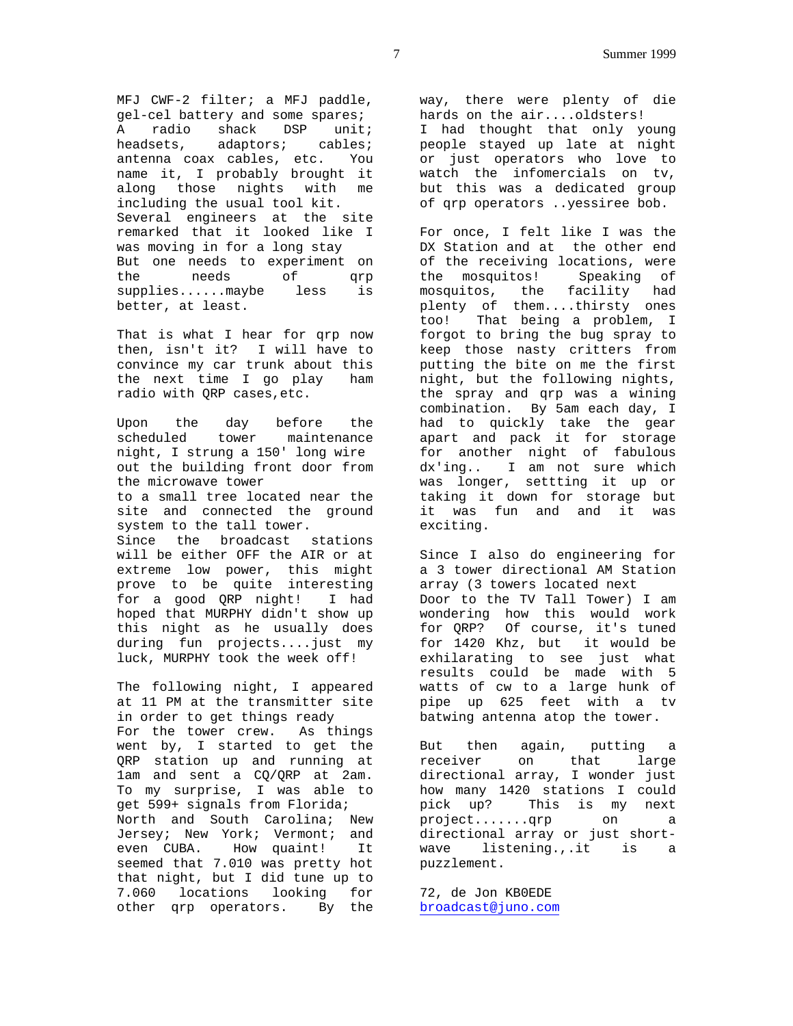MFJ CWF-2 filter; a MFJ paddle, gel-cel battery and some spares; A radio shack DSP unit; headsets, adaptors; cables; antenna coax cables, etc. You name it, I probably brought it along those nights with me including the usual tool kit. Several engineers at the site remarked that it looked like I was moving in for a long stay But one needs to experiment on the needs of qrp supplies......maybe less is better, at least.

That is what I hear for qrp now then, isn't it? I will have to convince my car trunk about this the next time I go play ham radio with QRP cases,etc.

Upon the day before the scheduled tower maintenance night, I strung a 150' long wire out the building front door from the microwave tower to a small tree located near the site and connected the ground system to the tall tower. Since the broadcast stations will be either OFF the AIR or at extreme low power, this might prove to be quite interesting for a good QRP night! I had hoped that MURPHY didn't show up this night as he usually does during fun projects....just my luck, MURPHY took the week off!

The following night, I appeared at 11 PM at the transmitter site in order to get things ready For the tower crew. As things went by, I started to get the QRP station up and running at 1am and sent a CQ/QRP at 2am. To my surprise, I was able to get 599+ signals from Florida; North and South Carolina; New Jersey; New York; Vermont; and even CUBA. How quaint! It seemed that 7.010 was pretty hot that night, but I did tune up to 7.060 locations looking for other qrp operators. By the way, there were plenty of die hards on the air....oldsters! I had thought that only young people stayed up late at night or just operators who love to watch the infomercials on tv, but this was a dedicated group of qrp operators ..yessiree bob.

For once, I felt like I was the DX Station and at the other end of the receiving locations, were the mosquitos! Speaking of mosquitos, the facility had plenty of them....thirsty ones too! That being a problem, I forgot to bring the bug spray to keep those nasty critters from putting the bite on me the first night, but the following nights, the spray and qrp was a wining combination. By 5am each day, I had to quickly take the gear apart and pack it for storage for another night of fabulous dx'ing.. I am not sure which was longer, settting it up or taking it down for storage but it was fun and and it was exciting.

Since I also do engineering for a 3 tower directional AM Station array (3 towers located next Door to the TV Tall Tower) I am wondering how this would work for QRP? Of course, it's tuned for 1420 Khz, but it would be exhilarating to see just what results could be made with 5 watts of cw to a large hunk of pipe up 625 feet with a tv batwing antenna atop the tower.

But then again, putting a receiver on that large directional array, I wonder just how many 1420 stations I could pick up? This is my next project.......qrp on a directional array or just shortwave listening.,.it is a puzzlement.

72, de Jon KB0EDE broadcast@juno.com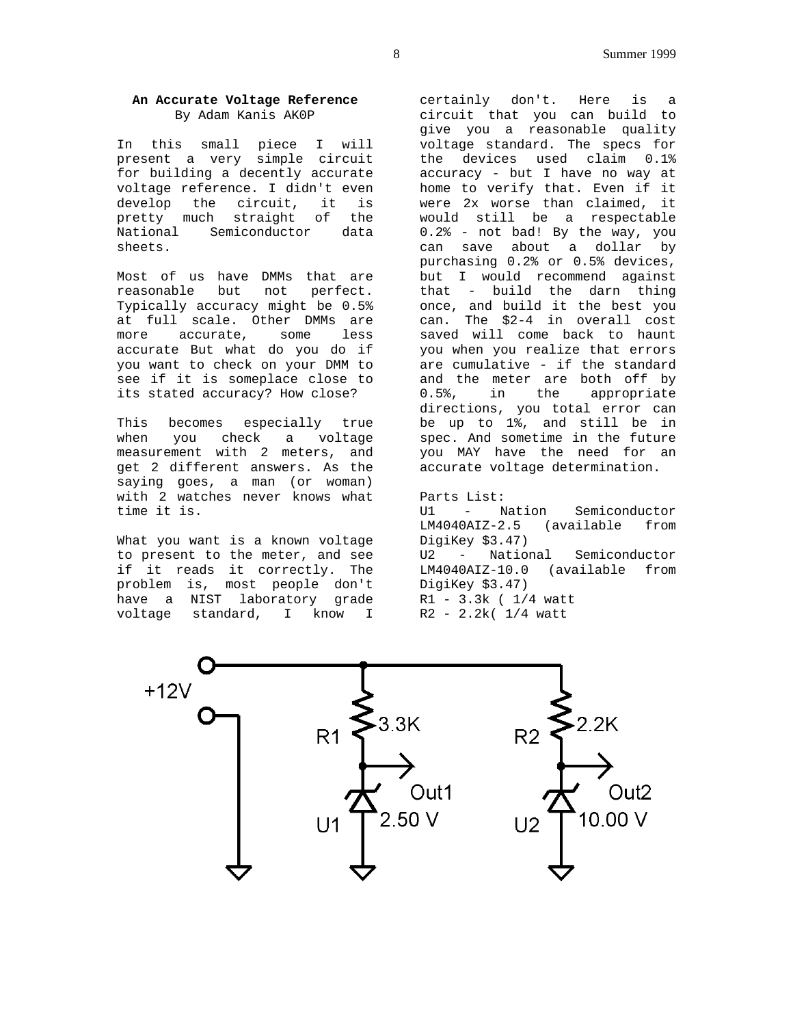# **An Accurate Voltage Reference** By Adam Kanis AK0P

In this small piece I will present a very simple circuit for building a decently accurate voltage reference. I didn't even develop the circuit, it is pretty much straight of the National Semiconductor data sheets.

Most of us have DMMs that are reasonable but not perfect. Typically accuracy might be 0.5% at full scale. Other DMMs are more accurate, some less accurate But what do you do if you want to check on your DMM to see if it is someplace close to its stated accuracy? How close?

This becomes especially true when you check a voltage measurement with 2 meters, and get 2 different answers. As the saying goes, a man (or woman) with 2 watches never knows what time it is.

What you want is a known voltage to present to the meter, and see if it reads it correctly. The problem is, most people don't have a NIST laboratory grade voltage standard, I know I

certainly don't. Here is a circuit that you can build to give you a reasonable quality voltage standard. The specs for the devices used claim 0.1% accuracy - but I have no way at home to verify that. Even if it were 2x worse than claimed, it would still be a respectable 0.2% - not bad! By the way, you can save about a dollar by purchasing 0.2% or 0.5% devices, but I would recommend against that - build the darn thing once, and build it the best you can. The \$2-4 in overall cost saved will come back to haunt you when you realize that errors are cumulative - if the standard and the meter are both off by 0.5%, in the appropriate directions, you total error can be up to 1%, and still be in spec. And sometime in the future you MAY have the need for an accurate voltage determination.

Parts List: U1 - Nation Semiconductor LM4040AIZ-2.5 (available from DigiKey \$3.47) U2 - National Semiconductor LM4040AIZ-10.0 (available from DigiKey \$3.47) R1 - 3.3k ( 1/4 watt R2 - 2.2k( 1/4 watt

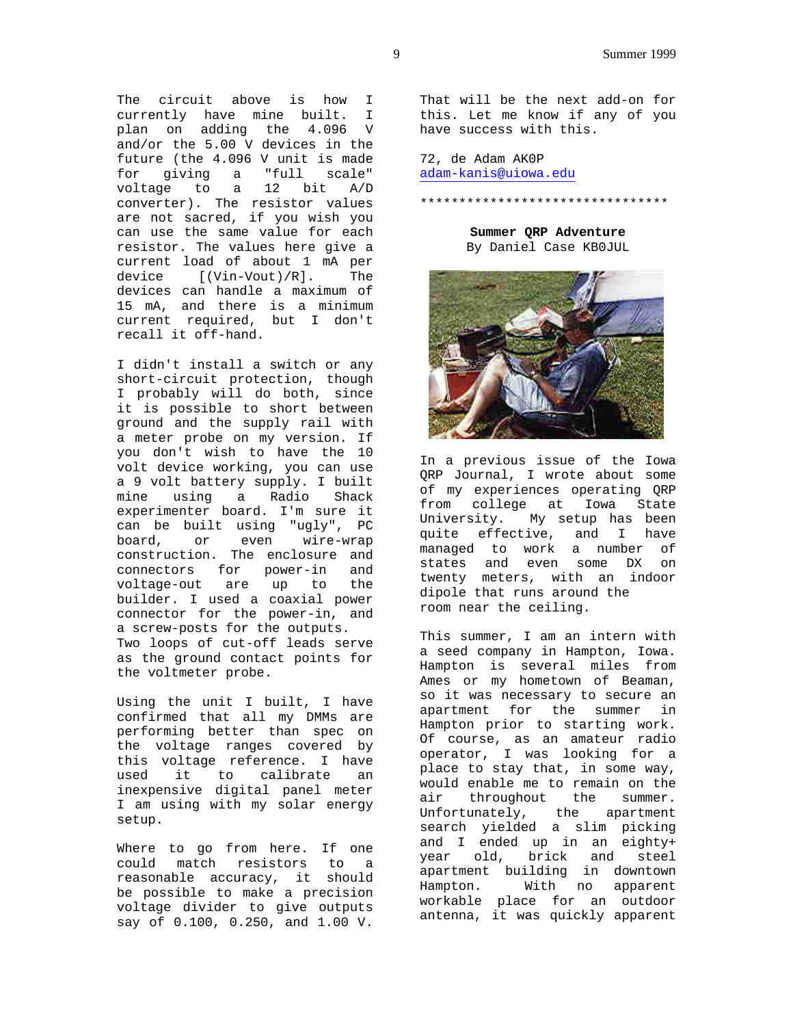The circuit above is how I currently have mine built. I plan on adding the 4.096 V and/or the 5.00 V devices in the future (the 4.096 V unit is made for giving a "full scale" voltage to a 12 bit A/D converter). The resistor values are not sacred, if you wish you can use the same value for each resistor. The values here give a current load of about 1 mA per device [(Vin-Vout)/R]. The devices can handle a maximum of 15 mA, and there is a minimum current required, but I don't recall it off-hand.

I didn't install a switch or any short-circuit protection, though I probably will do both, since it is possible to short between ground and the supply rail with a meter probe on my version. If you don't wish to have the 10 volt device working, you can use a 9 volt battery supply. I built mine using a Radio Shack experimenter board. I'm sure it can be built using "ugly", PC board, or even wire-wrap construction. The enclosure and connectors for power-in and voltage-out are up to the builder. I used a coaxial power connector for the power-in, and a screw-posts for the outputs. Two loops of cut-off leads serve as the ground contact points for the voltmeter probe.

Using the unit I built, I have confirmed that all my DMMs are performing better than spec on the voltage ranges covered by this voltage reference. I have used it to calibrate an inexpensive digital panel meter I am using with my solar energy setup.

Where to go from here. If one could match resistors to a reasonable accuracy, it should be possible to make a precision voltage divider to give outputs say of 0.100, 0.250, and 1.00 V.

That will be the next add-on for this. Let me know if any of you have success with this.

72, de Adam AK0P adam-kanis@uiowa.edu

\*\*\*\*\*\*\*\*\*\*\*\*\*\*\*\*\*\*\*\*\*\*\*\*\*\*\*\*\*\*\*\*

**Summer QRP Adventure** By Daniel Case KB0JUL



In a previous issue of the Iowa QRP Journal, I wrote about some of my experiences operating QRP from college at Iowa State University. My setup has been quite effective, and I have managed to work a number of states and even some DX on twenty meters, with an indoor dipole that runs around the room near the ceiling.

This summer, I am an intern with a seed company in Hampton, Iowa. Hampton is several miles from Ames or my hometown of Beaman, so it was necessary to secure an apartment for the summer in Hampton prior to starting work. Of course, as an amateur radio operator, I was looking for a place to stay that, in some way, would enable me to remain on the air throughout the summer. Unfortunately, the apartment search yielded a slim picking and I ended up in an eighty+ year old, brick and steel apartment building in downtown Hampton. With no apparent workable place for an outdoor antenna, it was quickly apparent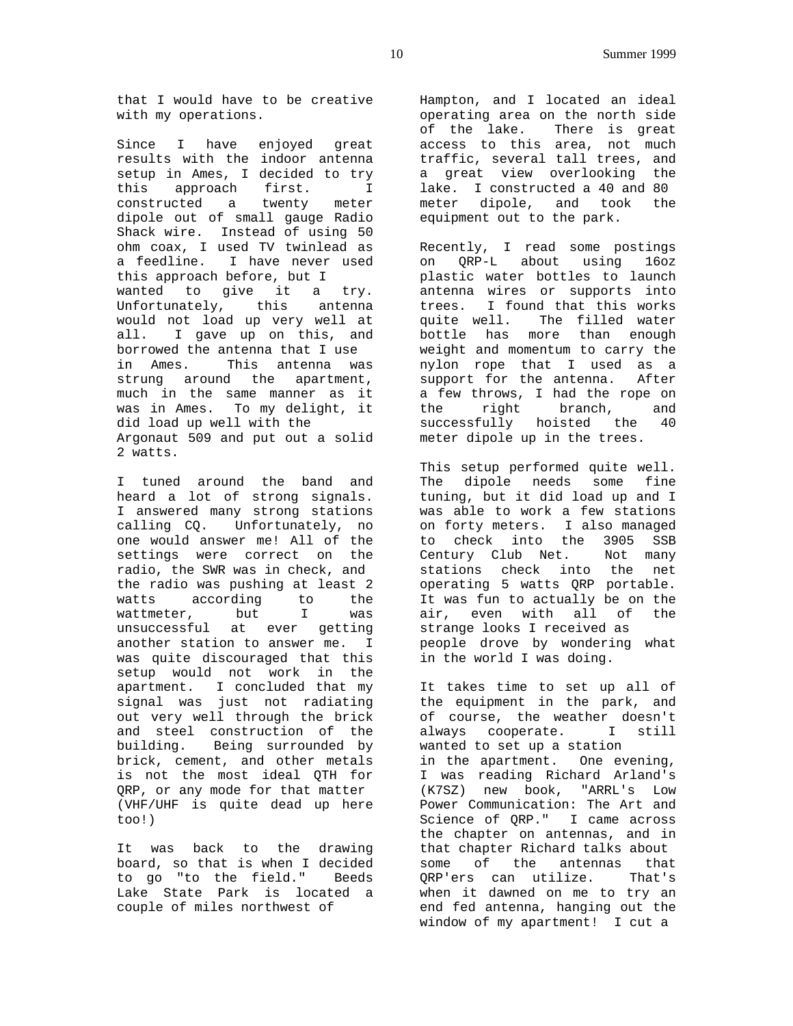that I would have to be creative with my operations.

Since I have enjoyed great results with the indoor antenna setup in Ames, I decided to try this approach first. I constructed a twenty meter dipole out of small gauge Radio Shack wire. Instead of using 50 ohm coax, I used TV twinlead as a feedline. I have never used this approach before, but I wanted to give it a try. Unfortunately, this antenna would not load up very well at all. I gave up on this, and borrowed the antenna that I use in Ames. This antenna was strung around the apartment, much in the same manner as it was in Ames. To my delight, it did load up well with the Argonaut 509 and put out a solid 2 watts.

I tuned around the band and heard a lot of strong signals. I answered many strong stations calling CQ. Unfortunately, no one would answer me! All of the settings were correct on the radio, the SWR was in check, and the radio was pushing at least 2 watts according to the wattmeter, but I was unsuccessful at ever getting another station to answer me. I was quite discouraged that this setup would not work in the apartment. I concluded that my signal was just not radiating out very well through the brick and steel construction of the building. Being surrounded by brick, cement, and other metals is not the most ideal QTH for QRP, or any mode for that matter (VHF/UHF is quite dead up here too!)

It was back to the drawing board, so that is when I decided to go "to the field." Beeds Lake State Park is located a couple of miles northwest of

Hampton, and I located an ideal operating area on the north side of the lake. There is great access to this area, not much traffic, several tall trees, and a great view overlooking the lake. I constructed a 40 and 80 meter dipole, and took the equipment out to the park.

Recently, I read some postings on QRP-L about using 16oz plastic water bottles to launch antenna wires or supports into trees. I found that this works quite well. The filled water bottle has more than enough weight and momentum to carry the nylon rope that I used as a support for the antenna. After a few throws, I had the rope on the right branch, and successfully hoisted the 40 meter dipole up in the trees.

This setup performed quite well. The dipole needs some fine tuning, but it did load up and I was able to work a few stations on forty meters. I also managed to check into the 3905 SSB Century Club Net. Not many stations check into the net operating 5 watts QRP portable. It was fun to actually be on the air, even with all of the strange looks I received as people drove by wondering what in the world I was doing.

It takes time to set up all of the equipment in the park, and of course, the weather doesn't always cooperate. I still wanted to set up a station in the apartment. One evening, I was reading Richard Arland's (K7SZ) new book, "ARRL's Low Power Communication: The Art and Science of QRP." I came across the chapter on antennas, and in that chapter Richard talks about some of the antennas that QRP'ers can utilize. That's when it dawned on me to try an end fed antenna, hanging out the window of my apartment! I cut a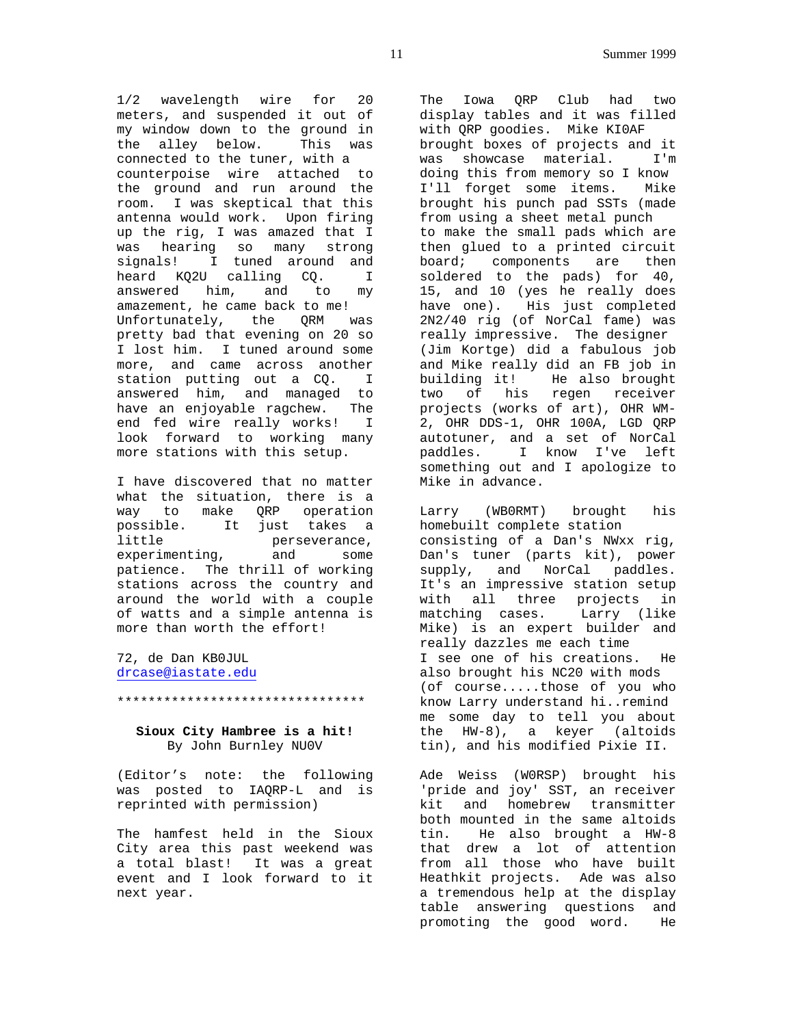1/2 wavelength wire for 20 meters, and suspended it out of my window down to the ground in the alley below. This was connected to the tuner, with a counterpoise wire attached to the ground and run around the room. I was skeptical that this antenna would work. Upon firing up the rig, I was amazed that I was hearing so many strong signals! I tuned around and heard KQ2U calling CQ. I answered him, and to my amazement, he came back to me! Unfortunately, the QRM was pretty bad that evening on 20 so I lost him. I tuned around some more, and came across another station putting out a CQ. I answered him, and managed to have an enjoyable ragchew. The end fed wire really works! I look forward to working many more stations with this setup.

I have discovered that no matter what the situation, there is a way to make QRP operation possible. It just takes a little perseverance,<br>experimenting, and some experimenting, patience. The thrill of working stations across the country and around the world with a couple of watts and a simple antenna is more than worth the effort!

72, de Dan KB0JUL drcase@iastate.edu

### **Sioux City Hambree is a hit!** By John Burnley NU0V

\*\*\*\*\*\*\*\*\*\*\*\*\*\*\*\*\*\*\*\*\*\*\*\*\*\*\*\*\*\*\*\*

(Editor's note: the following was posted to IAQRP-L and is reprinted with permission)

The hamfest held in the Sioux City area this past weekend was a total blast! It was a great event and I look forward to it next year.

The Iowa QRP Club had two display tables and it was filled with QRP goodies. Mike KI0AF brought boxes of projects and it was showcase material. I'm doing this from memory so I know I'll forget some items. Mike brought his punch pad SSTs (made from using a sheet metal punch to make the small pads which are then glued to a printed circuit board; components are then soldered to the pads) for 40, 15, and 10 (yes he really does have one). His just completed 2N2/40 rig (of NorCal fame) was really impressive. The designer (Jim Kortge) did a fabulous job and Mike really did an FB job in building it! He also brought two of his regen receiver projects (works of art), OHR WM-2, OHR DDS-1, OHR 100A, LGD QRP autotuner, and a set of NorCal paddles. I know I've left something out and I apologize to Mike in advance.

Larry (WB0RMT) brought his homebuilt complete station consisting of a Dan's NWxx rig, Dan's tuner (parts kit), power supply, and NorCal paddles. It's an impressive station setup with all three projects in matching cases. Larry (like Mike) is an expert builder and really dazzles me each time I see one of his creations. He also brought his NC20 with mods (of course.....those of you who know Larry understand hi..remind me some day to tell you about the  $HW-8$ ), a keyer (altoids tin), and his modified Pixie II.

Ade Weiss (W0RSP) brought his 'pride and joy' SST, an receiver kit and homebrew transmitter both mounted in the same altoids tin. He also brought a HW-8 that drew a lot of attention from all those who have built Heathkit projects. Ade was also a tremendous help at the display table answering questions and promoting the good word. He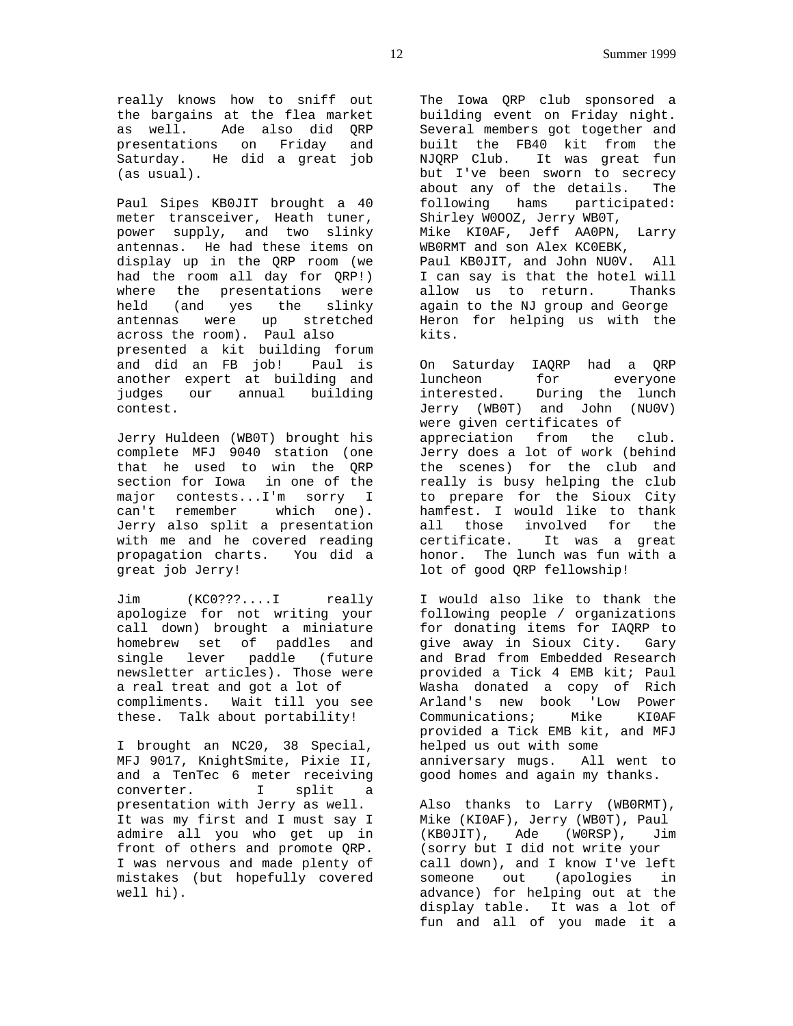really knows how to sniff out the bargains at the flea market as well. Ade also did QRP presentations on Friday and Saturday. He did a great job (as usual).

Paul Sipes KB0JIT brought a 40 meter transceiver, Heath tuner, power supply, and two slinky antennas. He had these items on display up in the QRP room (we had the room all day for QRP!) where the presentations were held (and yes the slinky antennas were up stretched across the room). Paul also presented a kit building forum and did an FB job! Paul is another expert at building and judges our annual building contest.

Jerry Huldeen (WB0T) brought his complete MFJ 9040 station (one that he used to win the QRP section for Iowa in one of the major contests...I'm sorry I can't remember which one). Jerry also split a presentation with me and he covered reading propagation charts. You did a great job Jerry!

Jim (KC0???....I really apologize for not writing your call down) brought a miniature homebrew set of paddles and single lever paddle (future newsletter articles). Those were a real treat and got a lot of compliments. Wait till you see these. Talk about portability!

I brought an NC20, 38 Special, MFJ 9017, KnightSmite, Pixie II, and a TenTec 6 meter receiving converter. I split a presentation with Jerry as well. It was my first and I must say I admire all you who get up in front of others and promote QRP. I was nervous and made plenty of mistakes (but hopefully covered well hi).

The Iowa QRP club sponsored a building event on Friday night. Several members got together and built the FB40 kit from the NJQRP Club. It was great fun but I've been sworn to secrecy about any of the details. The following hams participated: Shirley W0OOZ, Jerry WB0T, Mike KI0AF, Jeff AA0PN, Larry WB0RMT and son Alex KC0EBK, Paul KB0JIT, and John NU0V. All I can say is that the hotel will allow us to return. Thanks again to the NJ group and George Heron for helping us with the kits.

On Saturday IAQRP had a QRP luncheon for everyone interested. During the lunch Jerry (WB0T) and John (NU0V) were given certificates of appreciation from the club. Jerry does a lot of work (behind the scenes) for the club and really is busy helping the club to prepare for the Sioux City hamfest. I would like to thank all those involved for the certificate. It was a great honor. The lunch was fun with a lot of good QRP fellowship!

I would also like to thank the following people / organizations for donating items for IAQRP to give away in Sioux City. Gary and Brad from Embedded Research provided a Tick 4 EMB kit; Paul Washa donated a copy of Rich Arland's new book 'Low Power Communications; Mike KI0AF provided a Tick EMB kit, and MFJ helped us out with some anniversary mugs. All went to good homes and again my thanks.

Also thanks to Larry (WB0RMT), Mike (KI0AF), Jerry (WB0T), Paul (KB0JIT), Ade (W0RSP), Jim (sorry but I did not write your call down), and I know I've left someone out (apologies in advance) for helping out at the display table. It was a lot of fun and all of you made it a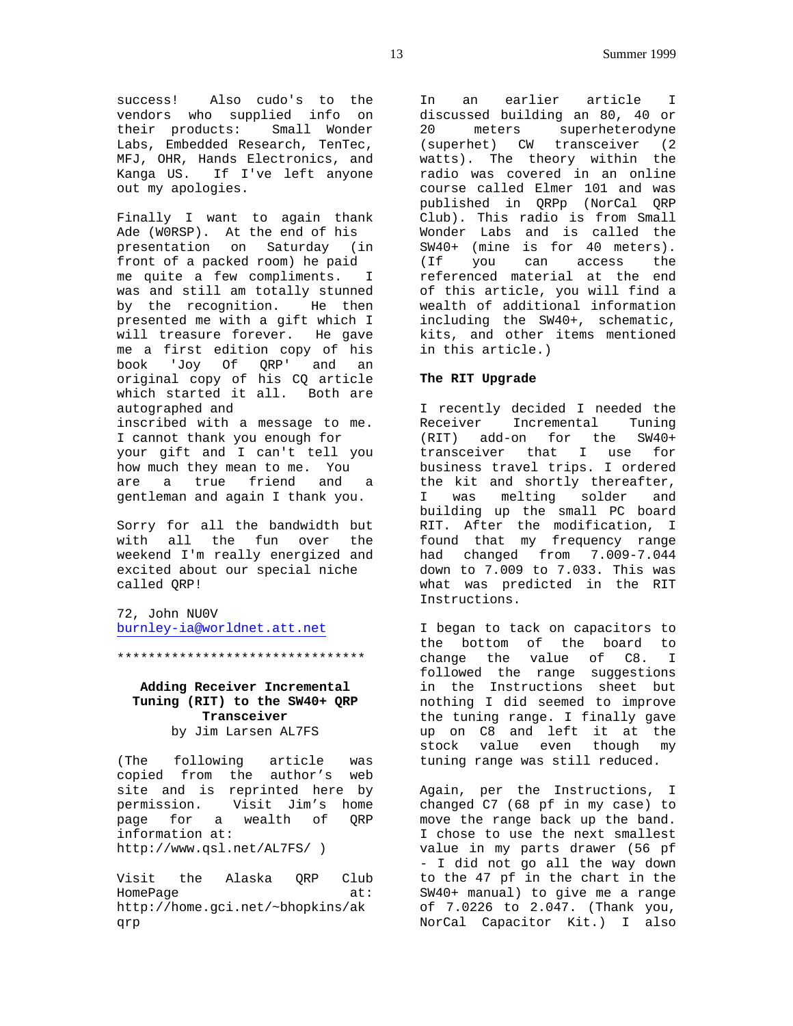success! Also cudo's to the vendors who supplied info on their products: Small Wonder Labs, Embedded Research, TenTec, MFJ, OHR, Hands Electronics, and Kanga US. If I've left anyone out my apologies.

Finally I want to again thank Ade (W0RSP). At the end of his presentation on Saturday (in front of a packed room) he paid me quite a few compliments. I was and still am totally stunned by the recognition. He then presented me with a gift which I will treasure forever. He gave me a first edition copy of his book 'Joy Of QRP' and an original copy of his CQ article which started it all. Both are autographed and inscribed with a message to me. I cannot thank you enough for your gift and I can't tell you how much they mean to me. You are a true friend and a gentleman and again I thank you.

Sorry for all the bandwidth but with all the fun over the weekend I'm really energized and excited about our special niche called QRP!

72, John NU0V burnley-ia@worldnet.att.net

\*\*\*\*\*\*\*\*\*\*\*\*\*\*\*\*\*\*\*\*\*\*\*\*\*\*\*\*\*\*\*\*

# **Adding Receiver Incremental Tuning (RIT) to the SW40+ QRP Transceiver** by Jim Larsen AL7FS

(The following article was copied from the author's web site and is reprinted here by permission. Visit Jim's home page for a wealth of QRP information at: http://www.qsl.net/AL7FS/ )

Visit the Alaska QRP Club HomePage at: http://home.gci.net/~bhopkins/ak qrp

In an earlier article I discussed building an 80, 40 or 20 meters superheterodyne (superhet) CW transceiver (2 watts). The theory within the radio was covered in an online course called Elmer 101 and was published in QRPp (NorCal QRP Club). This radio is from Small Wonder Labs and is called the SW40+ (mine is for 40 meters). (If you can access the referenced material at the end of this article, you will find a wealth of additional information including the SW40+, schematic, kits, and other items mentioned in this article.)

### **The RIT Upgrade**

I recently decided I needed the Receiver Incremental Tuning (RIT) add-on for the SW40+ transceiver that I use for business travel trips. I ordered the kit and shortly thereafter, I was melting solder and building up the small PC board RIT. After the modification, I found that my frequency range had changed from 7.009-7.044 down to 7.009 to 7.033. This was what was predicted in the RIT Instructions.

I began to tack on capacitors to the bottom of the board to change the value of C8. I followed the range suggestions in the Instructions sheet but nothing I did seemed to improve the tuning range. I finally gave up on C8 and left it at the stock value even though my tuning range was still reduced.

Again, per the Instructions, I changed C7 (68 pf in my case) to move the range back up the band. I chose to use the next smallest value in my parts drawer (56 pf - I did not go all the way down to the 47 pf in the chart in the SW40+ manual) to give me a range of 7.0226 to 2.047. (Thank you, NorCal Capacitor Kit.) I also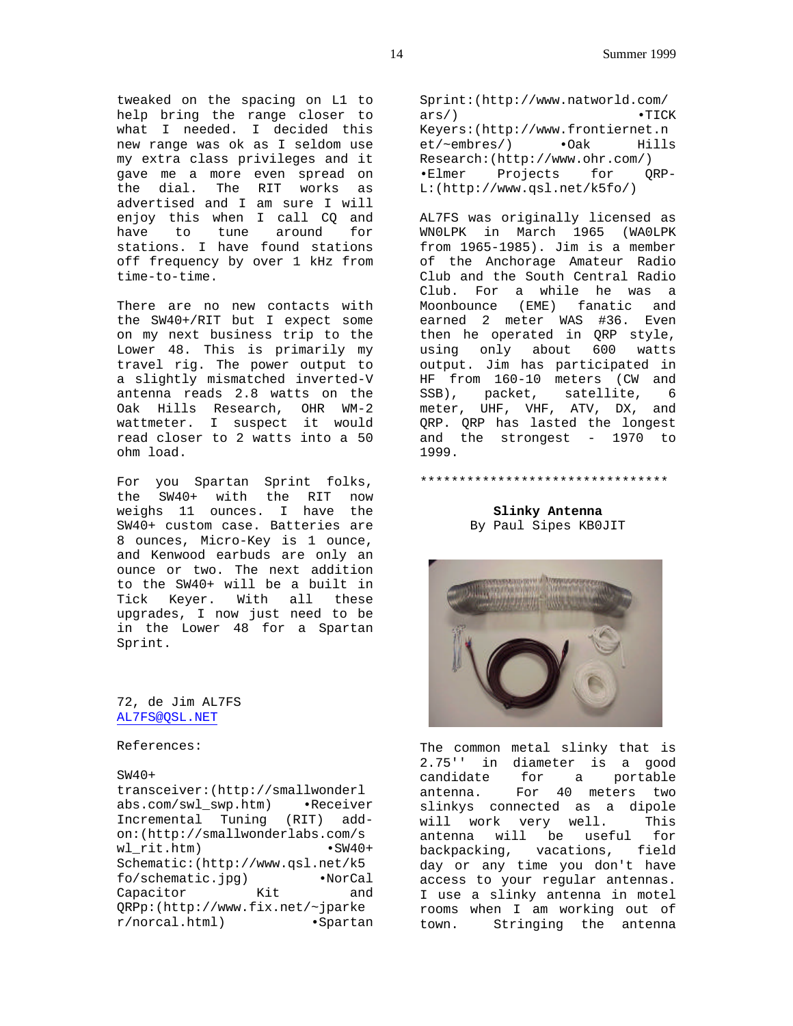tweaked on the spacing on L1 to help bring the range closer to what I needed. I decided this new range was ok as I seldom use my extra class privileges and it gave me a more even spread on the dial. The RIT works as advertised and I am sure I will enjoy this when I call CQ and have to tune around for stations. I have found stations off frequency by over 1 kHz from time-to-time.

There are no new contacts with the SW40+/RIT but I expect some on my next business trip to the Lower 48. This is primarily my travel rig. The power output to a slightly mismatched inverted-V antenna reads 2.8 watts on the Oak Hills Research, OHR WM-2 wattmeter. I suspect it would read closer to 2 watts into a 50 ohm load.

For you Spartan Sprint folks, the SW40+ with the RIT now weighs 11 ounces. I have the SW40+ custom case. Batteries are 8 ounces, Micro-Key is 1 ounce, and Kenwood earbuds are only an ounce or two. The next addition to the SW40+ will be a built in Tick Keyer. With all these upgrades, I now just need to be in the Lower 48 for a Spartan Sprint.

### 72, de Jim AL7FS AL7FS@QSL.NET

References:

### SW40+

transceiver:(http://smallwonderl abs.com/swl\_swp.htm) •Receiver Incremental Tuning (RIT) addon:(http://smallwonderlabs.com/s wl rit.htm) Schematic:(http://www.qsl.net/k5 fo/schematic.jpg) •NorCal Capacitor Kit and QRPp:(http://www.fix.net/~jparke r/norcal.html) •Spartan

Sprint:(http://www.natworld.com/ ars/) • TICK Keyers:(http://www.frontiernet.n et/~embres/) •Oak Hills Research:(http://www.ohr.com/) •Elmer Projects for QRP-L:(http://www.qsl.net/k5fo/)

AL7FS was originally licensed as WN0LPK in March 1965 (WA0LPK from 1965-1985). Jim is a member of the Anchorage Amateur Radio Club and the South Central Radio Club. For a while he was a Moonbounce (EME) fanatic and earned 2 meter WAS #36. Even then he operated in QRP style, using only about 600 watts output. Jim has participated in HF from 160-10 meters (CW and SSB), packet, satellite, 6 meter, UHF, VHF, ATV, DX, and QRP. QRP has lasted the longest and the strongest - 1970 to 1999.

### **Slinky Antenna** By Paul Sipes KB0JIT

\*\*\*\*\*\*\*\*\*\*\*\*\*\*\*\*\*\*\*\*\*\*\*\*\*\*\*\*\*\*\*\*



The common metal slinky that is 2.75'' in diameter is a good candidate for a portable antenna. For 40 meters two slinkys connected as a dipole will work very well. This antenna will be useful for backpacking, vacations, field day or any time you don't have access to your regular antennas. I use a slinky antenna in motel rooms when I am working out of town. Stringing the antenna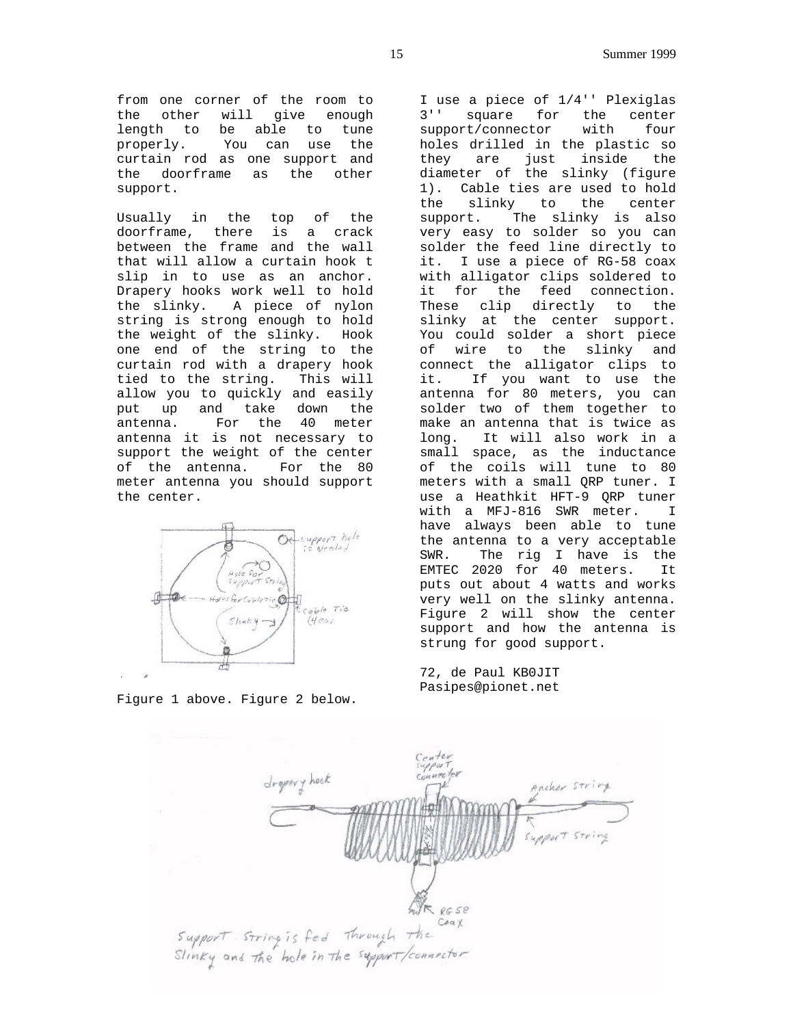from one corner of the room to the other will give enough length to be able to tune<br>properly. You can use the You can use the curtain rod as one support and the doorframe as the other support.

Usually in the top of the doorframe, there is a crack between the frame and the wall that will allow a curtain hook t slip in to use as an anchor. Drapery hooks work well to hold the slinky. A piece of nylon string is strong enough to hold the weight of the slinky. Hook one end of the string to the curtain rod with a drapery hook tied to the string. This will allow you to quickly and easily put up and take down the antenna. For the 40 meter antenna it is not necessary to support the weight of the center of the antenna. For the 80 meter antenna you should support the center.



Figure 1 above. Figure 2 below.

I use a piece of 1/4'' Plexiglas 3'' square for the center support/connector with four holes drilled in the plastic so they are just inside the diameter of the slinky (figure 1). Cable ties are used to hold the slinky to the center support. The slinky is also very easy to solder so you can solder the feed line directly to it. I use a piece of RG-58 coax with alligator clips soldered to it for the feed connection. These clip directly to the slinky at the center support. You could solder a short piece of wire to the slinky and connect the alligator clips to it. If you want to use the antenna for 80 meters, you can solder two of them together to make an antenna that is twice as long. It will also work in a small space, as the inductance of the coils will tune to 80 meters with a small QRP tuner. I use a Heathkit HFT-9 QRP tuner with a MFJ-816 SWR meter. I have always been able to tune the antenna to a very acceptable SWR. The rig I have is the EMTEC 2020 for 40 meters. It puts out about 4 watts and works very well on the slinky antenna. Figure 2 will show the center support and how the antenna is strung for good support.

72, de Paul KB0JIT Pasipes@pionet.net

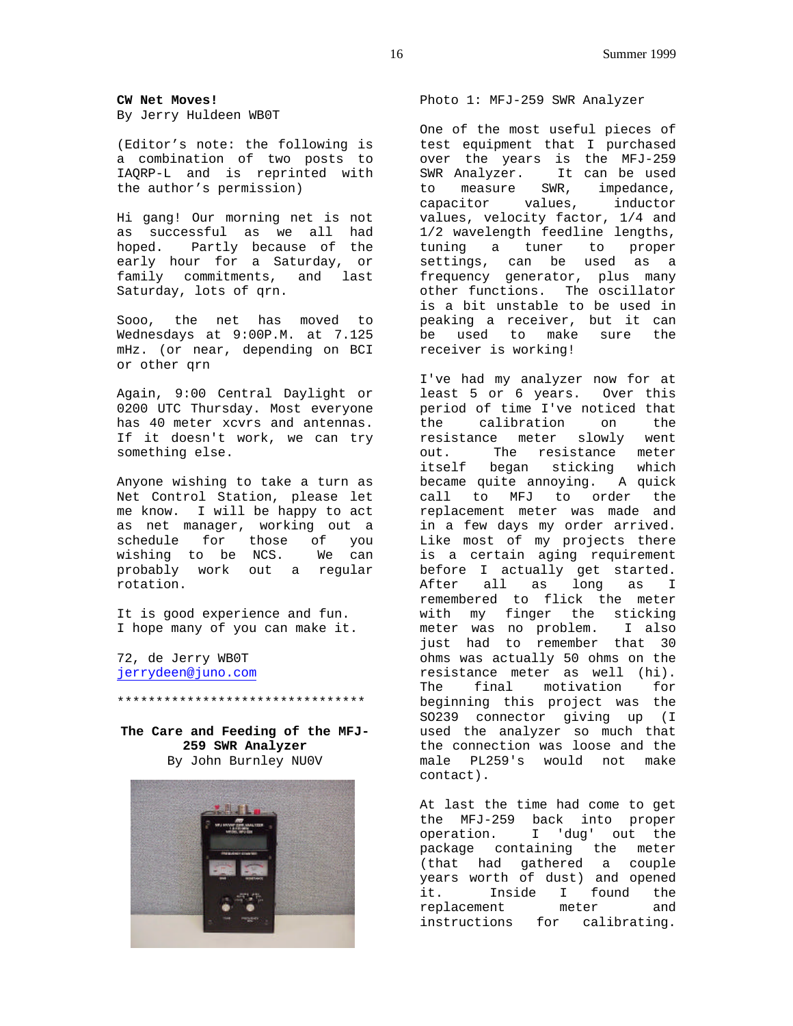**CW Net Moves!** By Jerry Huldeen WB0T

(Editor's note: the following is a combination of two posts to IAQRP-L and is reprinted with the author's permission)

Hi gang! Our morning net is not as successful as we all had hoped. Partly because of the early hour for a Saturday, or family commitments, and last Saturday, lots of qrn.

Sooo, the net has moved to Wednesdays at 9:00P.M. at 7.125 mHz. (or near, depending on BCI or other qrn

Again, 9:00 Central Daylight or 0200 UTC Thursday. Most everyone has 40 meter xcvrs and antennas. If it doesn't work, we can try something else.

Anyone wishing to take a turn as Net Control Station, please let me know. I will be happy to act as net manager, working out a schedule for those of you wishing to be NCS. We can probably work out a regular rotation.

It is good experience and fun. I hope many of you can make it.

72, de Jerry WB0T jerrydeen@juno.com

**The Care and Feeding of the MFJ-259 SWR Analyzer** By John Burnley NU0V

\*\*\*\*\*\*\*\*\*\*\*\*\*\*\*\*\*\*\*\*\*\*\*\*\*\*\*\*\*\*\*\*



Photo 1: MFJ-259 SWR Analyzer

One of the most useful pieces of test equipment that I purchased over the years is the MFJ-259 SWR Analyzer. It can be used to measure SWR, impedance,<br>capacitor values, inductor capacitor values, values, velocity factor, 1/4 and 1/2 wavelength feedline lengths, tuning a tuner to proper settings, can be used as a frequency generator, plus many other functions. The oscillator is a bit unstable to be used in peaking a receiver, but it can be used to make sure the receiver is working!

I've had my analyzer now for at least 5 or 6 years. Over this period of time I've noticed that the calibration on the resistance meter slowly went out. The resistance meter itself began sticking which became quite annoying. A quick call to MFJ to order the replacement meter was made and in a few days my order arrived. Like most of my projects there is a certain aging requirement before I actually get started. After all as long as I remembered to flick the meter with my finger the sticking meter was no problem. I also just had to remember that 30 ohms was actually 50 ohms on the resistance meter as well (hi). The final motivation for beginning this project was the SO239 connector giving up (I used the analyzer so much that the connection was loose and the male PL259's would not make contact).

At last the time had come to get the MFJ-259 back into proper operation. I 'dug' out the package containing the meter (that had gathered a couple years worth of dust) and opened it. Inside I found the replacement meter and instructions for calibrating.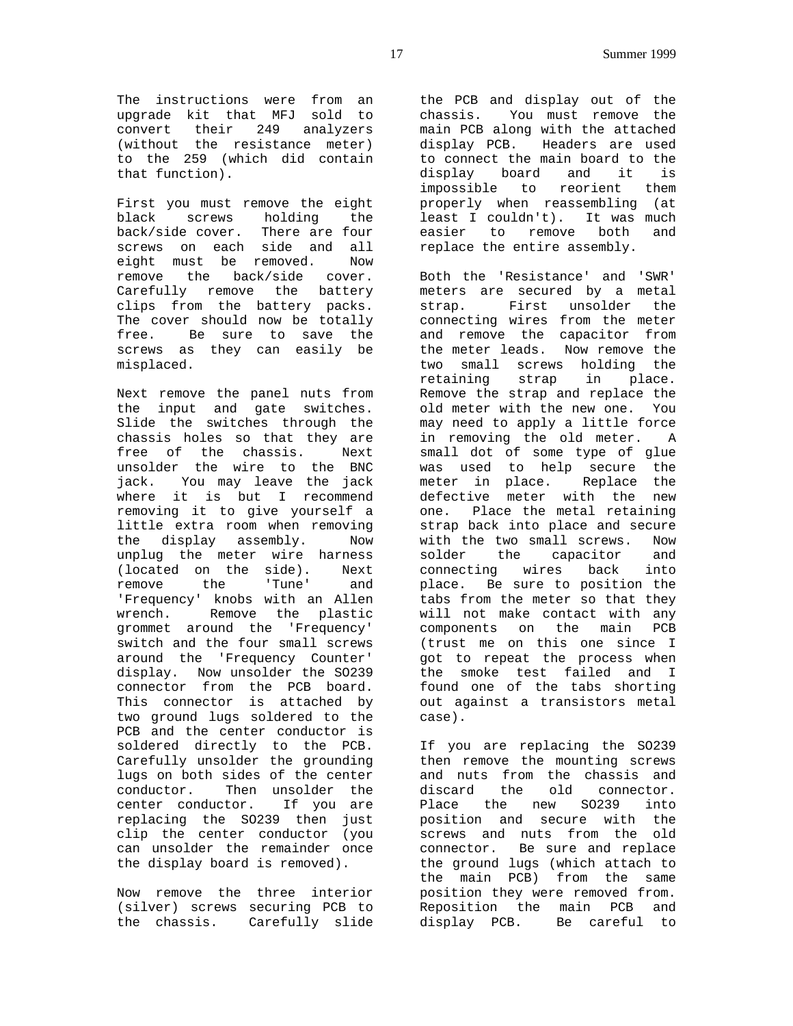The instructions were from an upgrade kit that MFJ sold to convert their 249 analyzers (without the resistance meter) to the 259 (which did contain that function).

First you must remove the eight black screws holding the back/side cover. There are four screws on each side and all eight must be removed. Now remove the back/side cover. Carefully remove the battery clips from the battery packs. The cover should now be totally free. Be sure to save the screws as they can easily be misplaced.

Next remove the panel nuts from the input and gate switches. Slide the switches through the chassis holes so that they are free of the chassis. Next unsolder the wire to the BNC jack. You may leave the jack where it is but I recommend removing it to give yourself a little extra room when removing<br>the display assembly. Now the display assembly. unplug the meter wire harness (located on the side). Next remove the 'Tune' and 'Frequency' knobs with an Allen wrench. Remove the plastic grommet around the 'Frequency' switch and the four small screws around the 'Frequency Counter' display. Now unsolder the SO239 connector from the PCB board. This connector is attached by two ground lugs soldered to the PCB and the center conductor is soldered directly to the PCB. Carefully unsolder the grounding lugs on both sides of the center conductor. Then unsolder the center conductor. If you are replacing the SO239 then just clip the center conductor (you can unsolder the remainder once the display board is removed).

Now remove the three interior (silver) screws securing PCB to the chassis. Carefully slide

the PCB and display out of the chassis. You must remove the main PCB along with the attached display PCB. Headers are used to connect the main board to the display board and it is impossible to reorient them properly when reassembling (at least I couldn't). It was much easier to remove both and replace the entire assembly.

Both the 'Resistance' and 'SWR' meters are secured by a metal strap. First unsolder the connecting wires from the meter and remove the capacitor from the meter leads. Now remove the two small screws holding the retaining strap in place. Remove the strap and replace the old meter with the new one. You may need to apply a little force in removing the old meter. A small dot of some type of glue was used to help secure the meter in place. Replace the defective meter with the new one. Place the metal retaining strap back into place and secure with the two small screws. Now solder the capacitor and connecting wires back into place. Be sure to position the tabs from the meter so that they will not make contact with any components on the main PCB (trust me on this one since I got to repeat the process when the smoke test failed and I found one of the tabs shorting out against a transistors metal case).

If you are replacing the SO239 then remove the mounting screws and nuts from the chassis and discard the old connector. Place the new SO239 into position and secure with the screws and nuts from the old connector. Be sure and replace the ground lugs (which attach to the main PCB) from the same position they were removed from. Reposition the main PCB and display PCB. Be careful to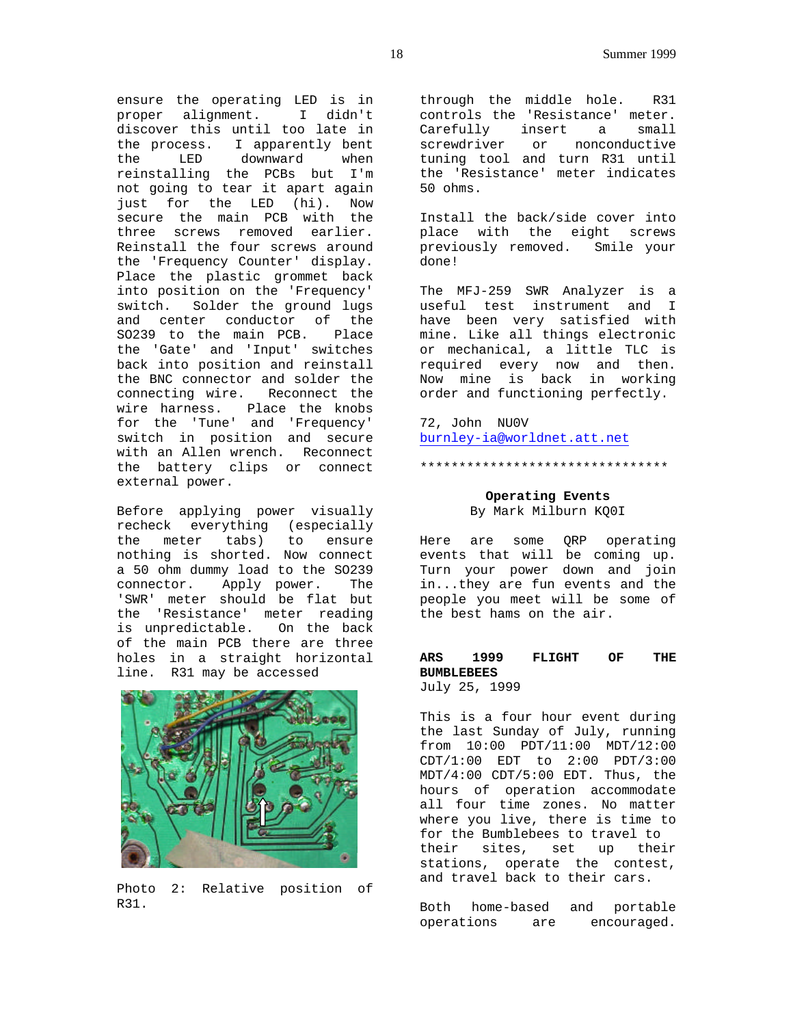ensure the operating LED is in proper alignment. I didn't discover this until too late in the process. I apparently bent<br>the LED downward when the LED downward when reinstalling the PCBs but I'm not going to tear it apart again just for the LED (hi). Now secure the main PCB with the three screws removed earlier. Reinstall the four screws around the 'Frequency Counter' display. Place the plastic grommet back into position on the 'Frequency' switch. Solder the ground lugs and center conductor of the SO239 to the main PCB. Place the 'Gate' and 'Input' switches back into position and reinstall the BNC connector and solder the connecting wire. Reconnect the wire harness. Place the knobs for the 'Tune' and 'Frequency' switch in position and secure with an Allen wrench. Reconnect the battery clips or connect external power.

Before applying power visually recheck everything (especially the meter tabs) to ensure nothing is shorted. Now connect a 50 ohm dummy load to the SO239 connector. Apply power. The 'SWR' meter should be flat but the 'Resistance' meter reading is unpredictable. On the back of the main PCB there are three holes in a straight horizontal line. R31 may be accessed



Photo 2: Relative position of R31.

through the middle hole. R31 controls the 'Resistance' meter. Carefully insert a small screwdriver or nonconductive tuning tool and turn R31 until the 'Resistance' meter indicates 50 ohms.

Install the back/side cover into place with the eight screws previously removed. Smile your done!

The MFJ-259 SWR Analyzer is a useful test instrument and I have been very satisfied with mine. Like all things electronic or mechanical, a little TLC is required every now and then. Now mine is back in working order and functioning perfectly.

72, John NU0V burnley-ia@worldnet.att.net

### \*\*\*\*\*\*\*\*\*\*\*\*\*\*\*\*\*\*\*\*\*\*\*\*\*\*\*\*\*\*\*\*

# **Operating Events**

By Mark Milburn KQ0I

Here are some QRP operating events that will be coming up. Turn your power down and join in...they are fun events and the people you meet will be some of the best hams on the air.

# **ARS 1999 FLIGHT OF THE BUMBLEBEES**

July 25, 1999

This is a four hour event during the last Sunday of July, running from 10:00 PDT/11:00 MDT/12:00 CDT/1:00 EDT to 2:00 PDT/3:00 MDT/4:00 CDT/5:00 EDT. Thus, the hours of operation accommodate all four time zones. No matter where you live, there is time to for the Bumblebees to travel to their sites, set up their stations, operate the contest, and travel back to their cars.

Both home-based and portable operations are encouraged.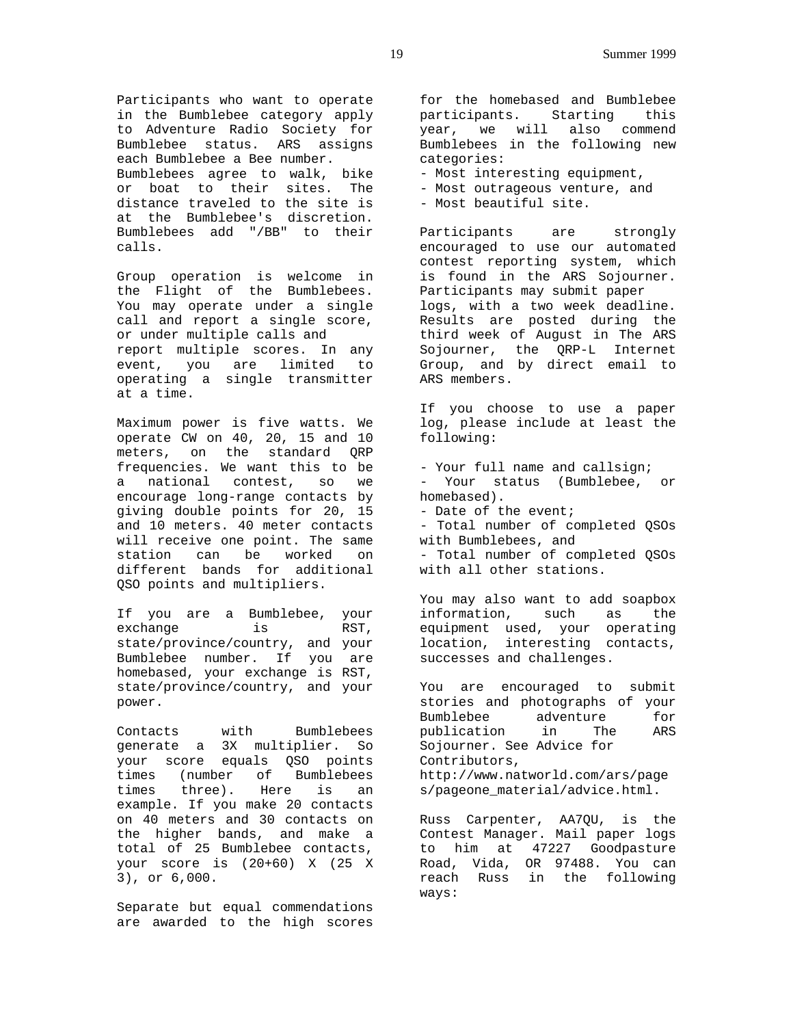Participants who want to operate in the Bumblebee category apply to Adventure Radio Society for Bumblebee status. ARS assigns each Bumblebee a Bee number. Bumblebees agree to walk, bike or boat to their sites. The distance traveled to the site is at the Bumblebee's discretion. Bumblebees add "/BB" to their calls.

Group operation is welcome in the Flight of the Bumblebees. You may operate under a single call and report a single score, or under multiple calls and report multiple scores. In any event, you are limited to operating a single transmitter at a time.

Maximum power is five watts. We operate CW on 40, 20, 15 and 10 meters, on the standard QRP frequencies. We want this to be a national contest, so we encourage long-range contacts by giving double points for 20, 15 and 10 meters. 40 meter contacts will receive one point. The same station can be worked on different bands for additional QSO points and multipliers.

If you are a Bumblebee, your exchange is RST, state/province/country, and your Bumblebee number. If you are homebased, your exchange is RST, state/province/country, and your power.

Contacts with Bumblebees generate a 3X multiplier. So your score equals QSO points times (number of Bumblebees times three). Here is an example. If you make 20 contacts on 40 meters and 30 contacts on the higher bands, and make a total of 25 Bumblebee contacts, your score is (20+60) X (25 X 3), or 6,000.

Separate but equal commendations are awarded to the high scores for the homebased and Bumblebee participants. Starting this year, we will also commend Bumblebees in the following new categories:

- Most interesting equipment,

- Most outrageous venture, and

- Most beautiful site.

Participants are strongly encouraged to use our automated contest reporting system, which is found in the ARS Sojourner. Participants may submit paper logs, with a two week deadline. Results are posted during the third week of August in The ARS Sojourner, the QRP-L Internet Group, and by direct email to ARS members.

If you choose to use a paper log, please include at least the following:

- Your full name and callsign; - Your status (Bumblebee, or homebased). - Date of the event;

- Total number of completed QSOs with Bumblebees, and - Total number of completed QSOs with all other stations.

You may also want to add soapbox information, such as the equipment used, your operating location, interesting contacts, successes and challenges.

You are encouraged to submit stories and photographs of your Bumblebee adventure for publication in The ARS Sojourner. See Advice for Contributors, http://www.natworld.com/ars/page s/pageone\_material/advice.html.

Russ Carpenter, AA7QU, is the Contest Manager. Mail paper logs to him at 47227 Goodpasture Road, Vida, OR 97488. You can reach Russ in the following ways: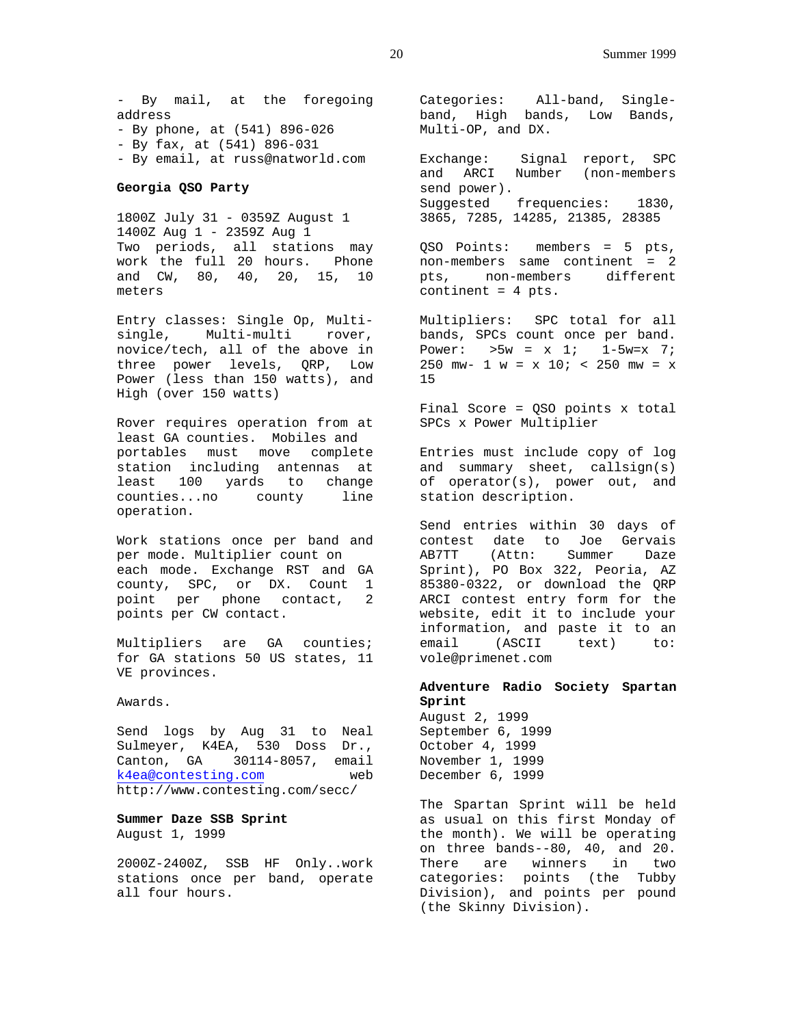- By mail, at the foregoing address - By phone, at (541) 896-026 - By fax, at (541) 896-031 - By email, at russ@natworld.com

### **Georgia QSO Party**

1800Z July 31 - 0359Z August 1 1400Z Aug 1 - 2359Z Aug 1 Two periods, all stations may work the full 20 hours. Phone and CW, 80, 40, 20, 15, 10 meters

Entry classes: Single Op, Multisingle, Multi-multi rover, novice/tech, all of the above in three power levels, QRP, Low Power (less than 150 watts), and High (over 150 watts)

Rover requires operation from at least GA counties. Mobiles and portables must move complete station including antennas at least 100 yards to change counties...no county line operation.

Work stations once per band and per mode. Multiplier count on each mode. Exchange RST and GA county, SPC, or DX. Count 1 point per phone contact, 2 points per CW contact.

Multipliers are GA counties; for GA stations 50 US states, 11 VE provinces.

Awards.

Send logs by Aug 31 to Neal Sulmeyer, K4EA, 530 Doss Dr., Canton, GA 30114-8057, email k4ea@contesting.com web http://www.contesting.com/secc/

### **Summer Daze SSB Sprint** August 1, 1999

2000Z-2400Z, SSB HF Only..work stations once per band, operate all four hours.

Categories: All-band, Singleband, High bands, Low Bands, Multi-OP, and DX.

Exchange: Signal report, SPC and ARCI Number (non-members send power). Suggested frequencies: 1830, 3865, 7285, 14285, 21385, 28385

QSO Points: members = 5 pts, non-members same continent = 2 pts, non-members different continent = 4 pts.

Multipliers: SPC total for all bands, SPCs count once per band. Power:  $>5w = x \ 1; \ 1-5w=x \ 7;$ 250 mw- 1 w =  $x$  10; < 250 mw =  $x$ 15

Final Score = QSO points x total SPCs x Power Multiplier

Entries must include copy of log and summary sheet, callsign(s) of operator(s), power out, and station description.

Send entries within 30 days of contest date to Joe Gervais AB7TT (Attn: Summer Daze Sprint), PO Box 322, Peoria, AZ 85380-0322, or download the QRP ARCI contest entry form for the website, edit it to include your information, and paste it to an email (ASCII text) to: vole@primenet.com

### **Adventure Radio Society Spartan Sprint**

August 2, 1999 September 6, 1999 October 4, 1999 November 1, 1999 December 6, 1999

The Spartan Sprint will be held as usual on this first Monday of the month). We will be operating on three bands--80, 40, and 20. There are winners in two categories: points (the Tubby Division), and points per pound (the Skinny Division).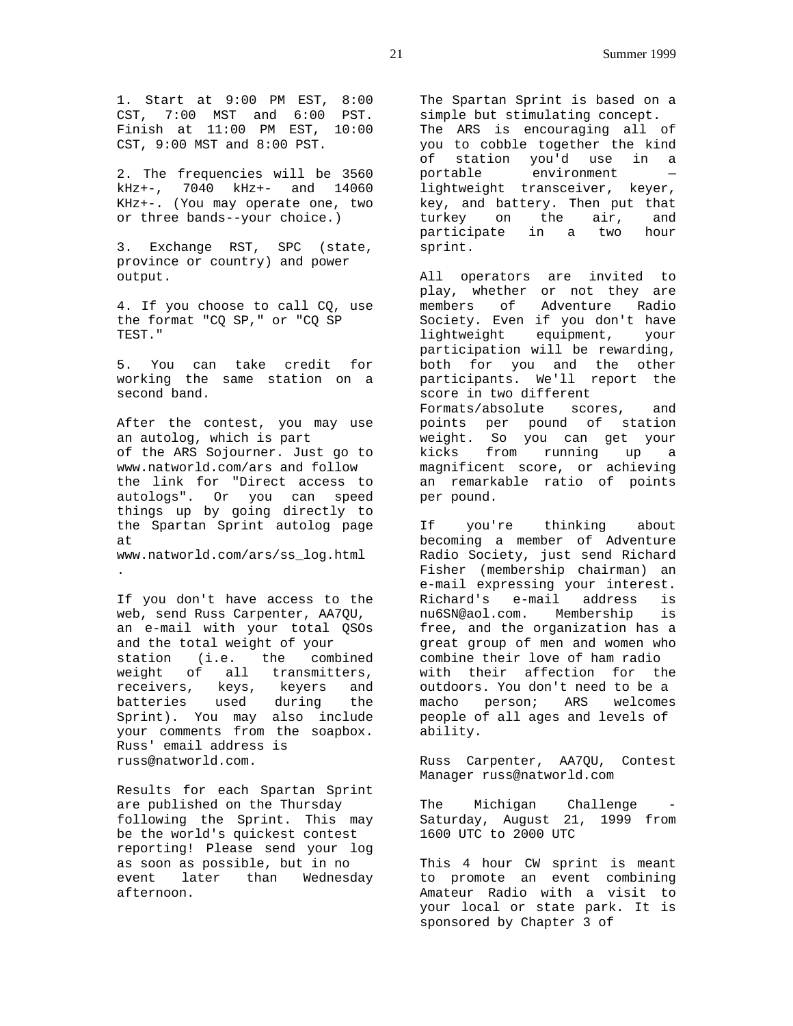1. Start at 9:00 PM EST, 8:00 CST, 7:00 MST and 6:00 PST. Finish at 11:00 PM EST, 10:00 CST, 9:00 MST and 8:00 PST.

2. The frequencies will be 3560 kHz+-, 7040 kHz+- and 14060 KHz+-. (You may operate one, two or three bands--your choice.)

3. Exchange RST, SPC (state, province or country) and power output.

4. If you choose to call CQ, use the format "CQ SP," or "CQ SP TEST."

5. You can take credit for working the same station on a second band.

After the contest, you may use an autolog, which is part of the ARS Sojourner. Just go to www.natworld.com/ars and follow the link for "Direct access to autologs". Or you can speed things up by going directly to the Spartan Sprint autolog page at www.natworld.com/ars/ss\_log.html

.

If you don't have access to the web, send Russ Carpenter, AA7QU, an e-mail with your total QSOs and the total weight of your station (i.e. the combined weight of all transmitters, receivers, keys, keyers and batteries used during the Sprint). You may also include your comments from the soapbox. Russ' email address is russ@natworld.com.

Results for each Spartan Sprint are published on the Thursday following the Sprint. This may be the world's quickest contest reporting! Please send your log as soon as possible, but in no event later than Wednesday afternoon.

The Spartan Sprint is based on a simple but stimulating concept. The ARS is encouraging all of you to cobble together the kind of station you'd use in a portable environment lightweight transceiver, keyer, key, and battery. Then put that turkey on the air, and participate in a two hour sprint.

All operators are invited to play, whether or not they are members of Adventure Radio Society. Even if you don't have lightweight equipment, your participation will be rewarding, both for you and the other participants. We'll report the score in two different Formats/absolute scores, and points per pound of station weight. So you can get your kicks from running up a magnificent score, or achieving an remarkable ratio of points per pound.

If you're thinking about becoming a member of Adventure Radio Society, just send Richard Fisher (membership chairman) an e-mail expressing your interest. Richard's e-mail address is nu6SN@aol.com. Membership is free, and the organization has a great group of men and women who combine their love of ham radio with their affection for the outdoors. You don't need to be a macho person; ARS welcomes people of all ages and levels of ability.

Russ Carpenter, AA7QU, Contest Manager russ@natworld.com

The Michigan Challenge Saturday, August 21, 1999 from 1600 UTC to 2000 UTC

This 4 hour CW sprint is meant to promote an event combining Amateur Radio with a visit to your local or state park. It is sponsored by Chapter 3 of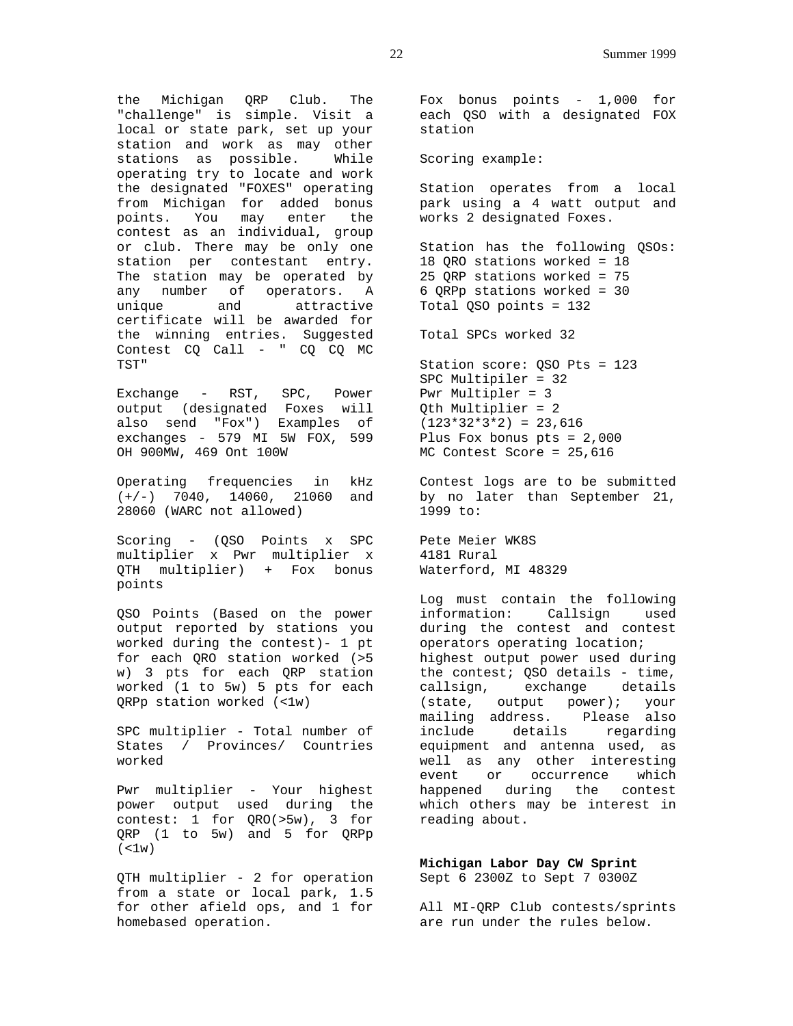the Michigan QRP Club. The "challenge" is simple. Visit a local or state park, set up your station and work as may other stations as possible. While operating try to locate and work the designated "FOXES" operating from Michigan for added bonus points. You may enter the contest as an individual, group or club. There may be only one station per contestant entry. The station may be operated by any number of operators. A unique and attractive certificate will be awarded for the winning entries. Suggested Contest CQ Call - " CQ CQ MC TST"

Exchange - RST, SPC, Power output (designated Foxes will also send "Fox") Examples of exchanges - 579 MI 5W FOX, 599 OH 900MW, 469 Ont 100W

Operating frequencies in kHz (+/-) 7040, 14060, 21060 and 28060 (WARC not allowed)

Scoring - (QSO Points x SPC multiplier x Pwr multiplier x QTH multiplier) + Fox bonus points

QSO Points (Based on the power output reported by stations you worked during the contest)- 1 pt for each QRO station worked (>5 w) 3 pts for each QRP station worked (1 to 5w) 5 pts for each QRPp station worked (<1w)

SPC multiplier - Total number of States / Provinces/ Countries worked

Pwr multiplier - Your highest power output used during the contest: 1 for QRO(>5w), 3 for QRP (1 to 5w) and 5 for QRPp  $($  <1w)

QTH multiplier - 2 for operation from a state or local park, 1.5 for other afield ops, and 1 for homebased operation.

Fox bonus points - 1,000 for each QSO with a designated FOX station

Scoring example:

Station operates from a local park using a 4 watt output and works 2 designated Foxes.

Station has the following QSOs: 18 QRO stations worked = 18 25 QRP stations worked = 75 6 QRPp stations worked = 30 Total QSO points = 132

Total SPCs worked 32

Station score: QSO Pts = 123 SPC Multipiler = 32 Pwr Multipler = 3 Qth Multiplier = 2  $(123*32*3*2) = 23,616$ Plus Fox bonus pts = 2,000 MC Contest Score = 25,616

Contest logs are to be submitted by no later than September 21, 1999 to:

Pete Meier WK8S 4181 Rural Waterford, MI 48329

Log must contain the following information: Callsign used during the contest and contest operators operating location; highest output power used during the contest; QSO details - time, callsign, exchange details (state, output power); your mailing address. Please also include details regarding equipment and antenna used, as well as any other interesting event or occurrence which happened during the contest which others may be interest in reading about.

**Michigan Labor Day CW Sprint** Sept 6 2300Z to Sept 7 0300Z

All MI-QRP Club contests/sprints are run under the rules below.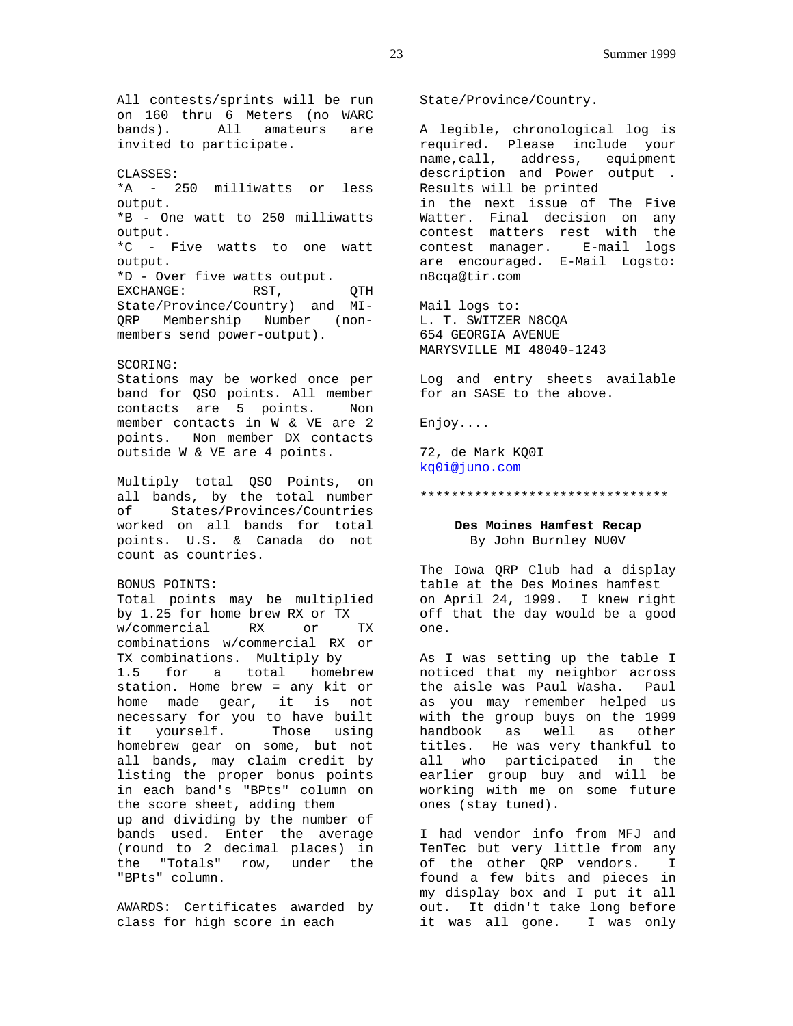All contests/sprints will be run on 160 thru 6 Meters (no WARC bands). All amateurs are invited to participate.

#### CLASSES:

\*A - 250 milliwatts or less output. \*B - One watt to 250 milliwatts output. \*C - Five watts to one watt output. \*D - Over five watts output. EXCHANGE: RST, QTH State/Province/Country) and MI-QRP Membership Number (nonmembers send power-output).

### SCORING:

Stations may be worked once per band for QSO points. All member contacts are 5 points. Non member contacts in W & VE are 2 points. Non member DX contacts outside W & VE are 4 points.

Multiply total QSO Points, on all bands, by the total number of States/Provinces/Countries worked on all bands for total points. U.S. & Canada do not count as countries.

### BONUS POINTS:

Total points may be multiplied by 1.25 for home brew RX or TX w/commercial RX or TX combinations w/commercial RX or TX combinations. Multiply by 1.5 for a total homebrew station. Home brew = any kit or home made gear, it is not necessary for you to have built it yourself. Those using homebrew gear on some, but not all bands, may claim credit by listing the proper bonus points in each band's "BPts" column on the score sheet, adding them up and dividing by the number of bands used. Enter the average (round to 2 decimal places) in the "Totals" row, under the "BPts" column.

AWARDS: Certificates awarded by class for high score in each

State/Province/Country.

A legible, chronological log is required. Please include your name,call, address, equipment description and Power output . Results will be printed in the next issue of The Five Watter. Final decision on any contest matters rest with the contest manager. E-mail logs are encouraged. E-Mail Logsto: n8cqa@tir.com

Mail logs to: L. T. SWITZER N8CQA 654 GEORGIA AVENUE MARYSVILLE MI 48040-1243

Log and entry sheets available for an SASE to the above.

Enjoy....

72, de Mark KQ0I kq0i@juno.com

#### \*\*\*\*\*\*\*\*\*\*\*\*\*\*\*\*\*\*\*\*\*\*\*\*\*\*\*\*\*\*\*\*

# **Des Moines Hamfest Recap** By John Burnley NU0V

The Iowa QRP Club had a display table at the Des Moines hamfest on April 24, 1999. I knew right off that the day would be a good one.

As I was setting up the table I noticed that my neighbor across the aisle was Paul Washa. Paul as you may remember helped us with the group buys on the 1999 handbook as well as other titles. He was very thankful to all who participated in the earlier group buy and will be working with me on some future ones (stay tuned).

I had vendor info from MFJ and TenTec but very little from any of the other QRP vendors. I found a few bits and pieces in my display box and I put it all out. It didn't take long before it was all gone. I was only